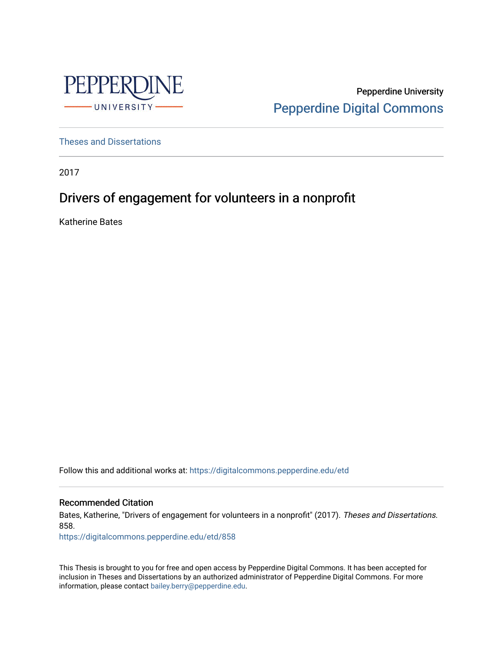

Pepperdine University [Pepperdine Digital Commons](https://digitalcommons.pepperdine.edu/) 

[Theses and Dissertations](https://digitalcommons.pepperdine.edu/etd)

2017

# Drivers of engagement for volunteers in a nonprofit

Katherine Bates

Follow this and additional works at: [https://digitalcommons.pepperdine.edu/etd](https://digitalcommons.pepperdine.edu/etd?utm_source=digitalcommons.pepperdine.edu%2Fetd%2F858&utm_medium=PDF&utm_campaign=PDFCoverPages) 

Recommended Citation

Bates, Katherine, "Drivers of engagement for volunteers in a nonprofit" (2017). Theses and Dissertations. 858.

[https://digitalcommons.pepperdine.edu/etd/858](https://digitalcommons.pepperdine.edu/etd/858?utm_source=digitalcommons.pepperdine.edu%2Fetd%2F858&utm_medium=PDF&utm_campaign=PDFCoverPages) 

This Thesis is brought to you for free and open access by Pepperdine Digital Commons. It has been accepted for inclusion in Theses and Dissertations by an authorized administrator of Pepperdine Digital Commons. For more information, please contact [bailey.berry@pepperdine.edu.](mailto:bailey.berry@pepperdine.edu)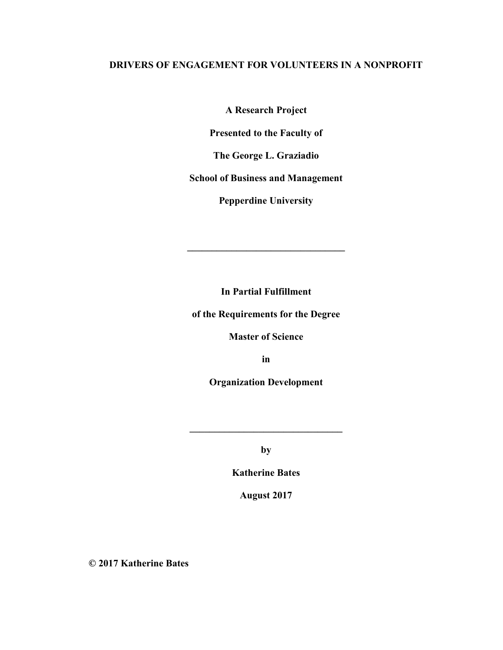## **DRIVERS OF ENGAGEMENT FOR VOLUNTEERS IN A NONPROFIT**

**A Research Project** 

**Presented to the Faculty of** 

**The George L. Graziadio** 

**School of Business and Management** 

**Pepperdine University** 

**In Partial Fulfillment** 

**\_\_\_\_\_\_\_\_\_\_\_\_\_\_\_\_\_\_\_\_\_\_\_\_\_\_\_\_\_\_\_\_** 

**of the Requirements for the Degree** 

**Master of Science** 

**in** 

**Organization Development** 

**by** 

**\_\_\_\_\_\_\_\_\_\_\_\_\_\_\_\_\_\_\_\_\_\_\_\_\_\_\_\_\_\_\_** 

**Katherine Bates** 

**August 2017** 

**© 2017 Katherine Bates**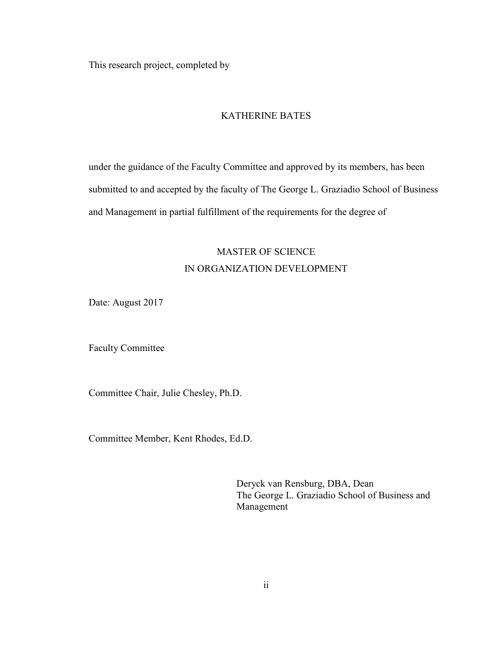This research project, completed by

## KATHERINE BATES

under the guidance of the Faculty Committee and approved by its members, has been submitted to and accepted by the faculty of The George L. Graziadio School of Business and Management in partial fulfillment of the requirements for the degree of

# MASTER OF SCIENCE IN ORGANIZATION DEVELOPMENT

Date: August 2017

Faculty Committee

Committee Chair, Julie Chesley, Ph.D.

Committee Member, Kent Rhodes, Ed.D.

Deryck van Rensburg, DBA, Dean The George L. Graziadio School of Business and Management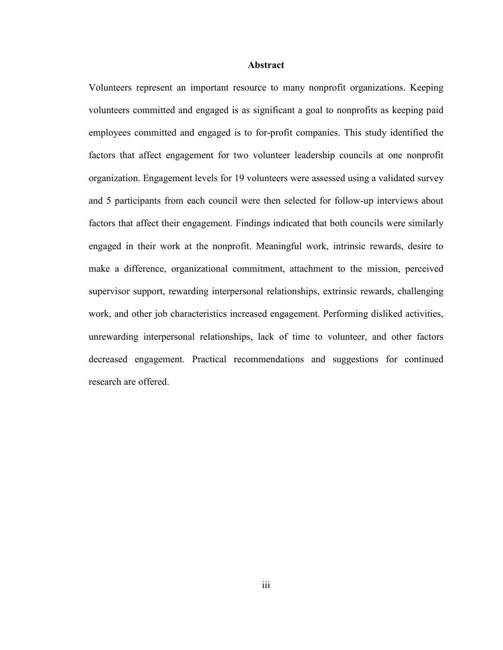#### **Abstract**

Volunteers represent an important resource to many nonprofit organizations. Keeping volunteers committed and engaged is as significant a goal to nonprofits as keeping paid employees committed and engaged is to for-profit companies. This study identified the factors that affect engagement for two volunteer leadership councils at one nonprofit organization. Engagement levels for 19 volunteers were assessed using a validated survey and 5 participants from each council were then selected for follow-up interviews about factors that affect their engagement. Findings indicated that both councils were similarly engaged in their work at the nonprofit. Meaningful work, intrinsic rewards, desire to make a difference, organizational commitment, attachment to the mission, perceived supervisor support, rewarding interpersonal relationships, extrinsic rewards, challenging work, and other job characteristics increased engagement. Performing disliked activities, unrewarding interpersonal relationships, lack of time to volunteer, and other factors decreased engagement. Practical recommendations and suggestions for continued research are offered.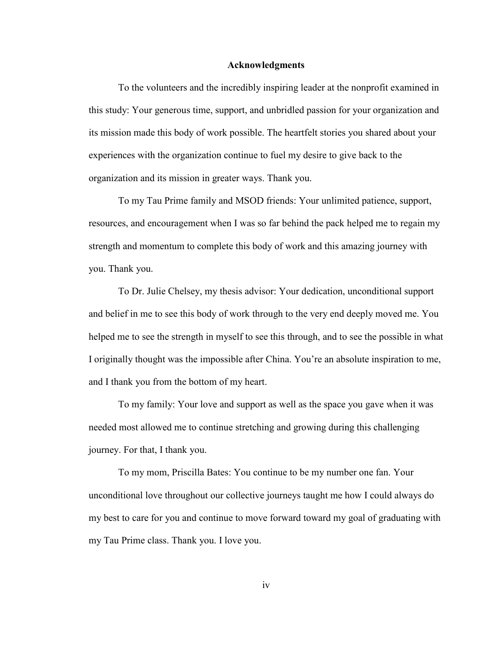#### **Acknowledgments**

To the volunteers and the incredibly inspiring leader at the nonprofit examined in this study: Your generous time, support, and unbridled passion for your organization and its mission made this body of work possible. The heartfelt stories you shared about your experiences with the organization continue to fuel my desire to give back to the organization and its mission in greater ways. Thank you.

To my Tau Prime family and MSOD friends: Your unlimited patience, support, resources, and encouragement when I was so far behind the pack helped me to regain my strength and momentum to complete this body of work and this amazing journey with you. Thank you.

To Dr. Julie Chelsey, my thesis advisor: Your dedication, unconditional support and belief in me to see this body of work through to the very end deeply moved me. You helped me to see the strength in myself to see this through, and to see the possible in what I originally thought was the impossible after China. You're an absolute inspiration to me, and I thank you from the bottom of my heart.

To my family: Your love and support as well as the space you gave when it was needed most allowed me to continue stretching and growing during this challenging journey. For that, I thank you.

To my mom, Priscilla Bates: You continue to be my number one fan. Your unconditional love throughout our collective journeys taught me how I could always do my best to care for you and continue to move forward toward my goal of graduating with my Tau Prime class. Thank you. I love you.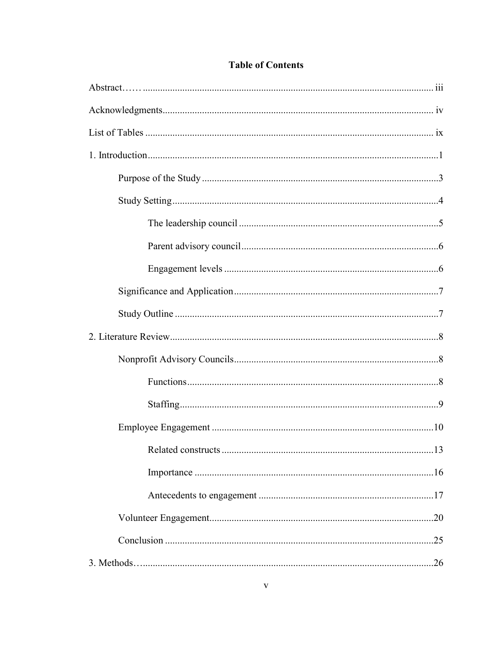| .13 |
|-----|
|     |
|     |
|     |
|     |
|     |

# **Table of Contents**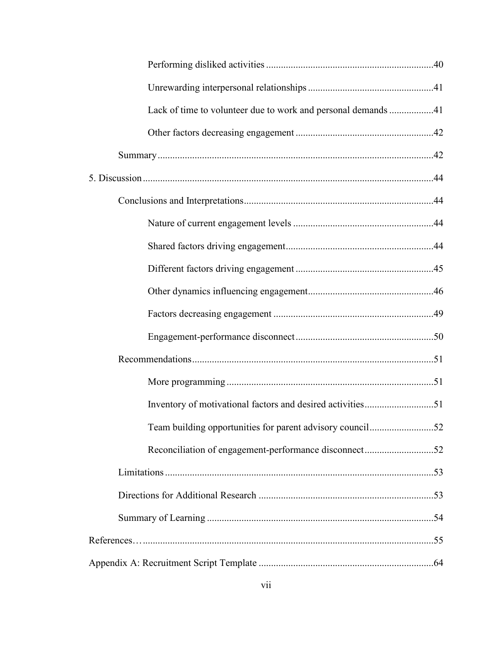| Lack of time to volunteer due to work and personal demands 41 |
|---------------------------------------------------------------|
|                                                               |
|                                                               |
|                                                               |
|                                                               |
|                                                               |
|                                                               |
|                                                               |
|                                                               |
|                                                               |
|                                                               |
|                                                               |
|                                                               |
| Inventory of motivational factors and desired activities51    |
| Team building opportunities for parent advisory council52     |
| Reconciliation of engagement-performance disconnect52         |
|                                                               |
|                                                               |
|                                                               |
|                                                               |
|                                                               |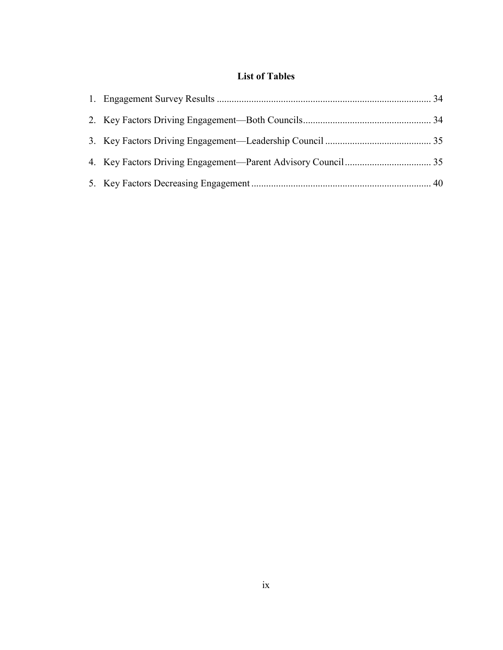# **List of Tables**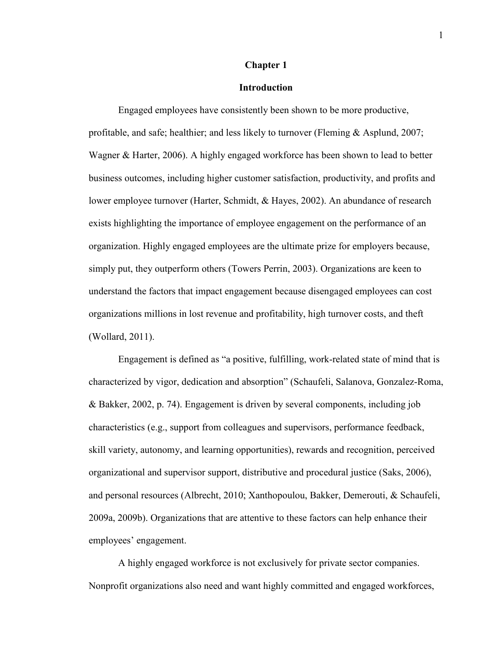#### **Chapter 1**

#### **Introduction**

Engaged employees have consistently been shown to be more productive, profitable, and safe; healthier; and less likely to turnover (Fleming & Asplund, 2007; Wagner & Harter, 2006). A highly engaged workforce has been shown to lead to better business outcomes, including higher customer satisfaction, productivity, and profits and lower employee turnover (Harter, Schmidt, & Hayes, 2002). An abundance of research exists highlighting the importance of employee engagement on the performance of an organization. Highly engaged employees are the ultimate prize for employers because, simply put, they outperform others (Towers Perrin, 2003). Organizations are keen to understand the factors that impact engagement because disengaged employees can cost organizations millions in lost revenue and profitability, high turnover costs, and theft (Wollard, 2011).

Engagement is defined as "a positive, fulfilling, work-related state of mind that is characterized by vigor, dedication and absorption" (Schaufeli, Salanova, Gonzalez-Roma, & Bakker, 2002, p. 74). Engagement is driven by several components, including job characteristics (e.g., support from colleagues and supervisors, performance feedback, skill variety, autonomy, and learning opportunities), rewards and recognition, perceived organizational and supervisor support, distributive and procedural justice (Saks, 2006), and personal resources (Albrecht, 2010; Xanthopoulou, Bakker, Demerouti, & Schaufeli, 2009a, 2009b). Organizations that are attentive to these factors can help enhance their employees' engagement.

A highly engaged workforce is not exclusively for private sector companies. Nonprofit organizations also need and want highly committed and engaged workforces,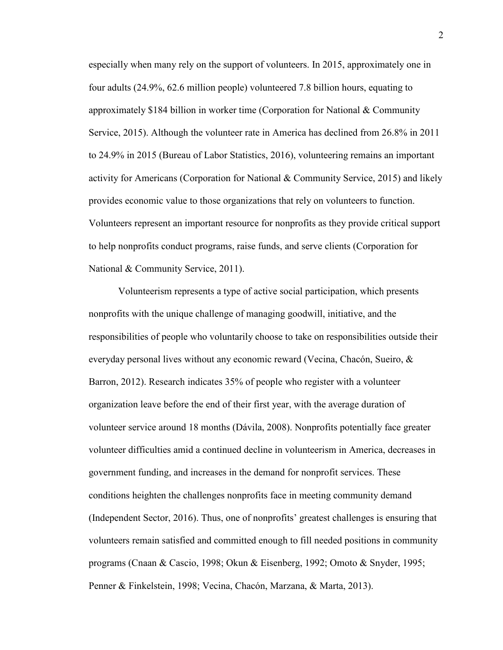especially when many rely on the support of volunteers. In 2015, approximately one in four adults (24.9%, 62.6 million people) volunteered 7.8 billion hours, equating to approximately \$184 billion in worker time (Corporation for National & Community Service, 2015). Although the volunteer rate in America has declined from 26.8% in 2011 to 24.9% in 2015 (Bureau of Labor Statistics, 2016), volunteering remains an important activity for Americans (Corporation for National & Community Service, 2015) and likely provides economic value to those organizations that rely on volunteers to function. Volunteers represent an important resource for nonprofits as they provide critical support to help nonprofits conduct programs, raise funds, and serve clients (Corporation for National & Community Service, 2011).

Volunteerism represents a type of active social participation, which presents nonprofits with the unique challenge of managing goodwill, initiative, and the responsibilities of people who voluntarily choose to take on responsibilities outside their everyday personal lives without any economic reward (Vecina, Chacón, Sueiro, & Barron, 2012). Research indicates 35% of people who register with a volunteer organization leave before the end of their first year, with the average duration of volunteer service around 18 months (Dávila, 2008). Nonprofits potentially face greater volunteer difficulties amid a continued decline in volunteerism in America, decreases in government funding, and increases in the demand for nonprofit services. These conditions heighten the challenges nonprofits face in meeting community demand (Independent Sector, 2016). Thus, one of nonprofits' greatest challenges is ensuring that volunteers remain satisfied and committed enough to fill needed positions in community programs (Cnaan & Cascio, 1998; Okun & Eisenberg, 1992; Omoto & Snyder, 1995; Penner & Finkelstein, 1998; Vecina, Chacón, Marzana, & Marta, 2013).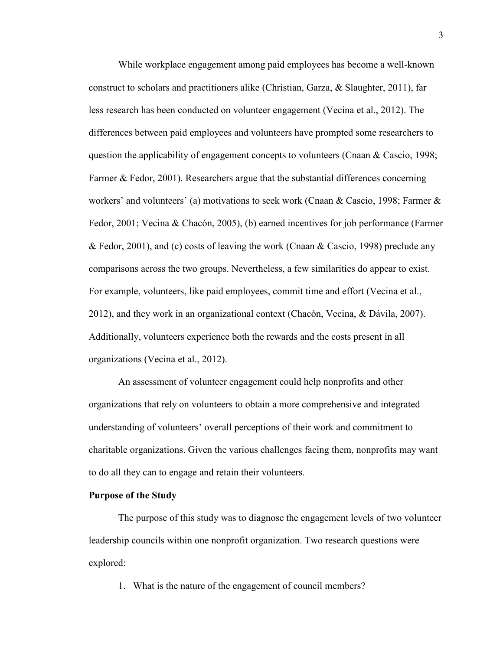While workplace engagement among paid employees has become a well-known construct to scholars and practitioners alike (Christian, Garza, & Slaughter, 2011), far less research has been conducted on volunteer engagement (Vecina et al., 2012). The differences between paid employees and volunteers have prompted some researchers to question the applicability of engagement concepts to volunteers (Cnaan & Cascio, 1998; Farmer & Fedor, 2001). Researchers argue that the substantial differences concerning workers' and volunteers' (a) motivations to seek work (Cnaan & Cascio, 1998; Farmer & Fedor, 2001; Vecina & Chacón, 2005), (b) earned incentives for job performance (Farmer & Fedor, 2001), and (c) costs of leaving the work (Cnaan & Cascio, 1998) preclude any comparisons across the two groups. Nevertheless, a few similarities do appear to exist. For example, volunteers, like paid employees, commit time and effort (Vecina et al., 2012), and they work in an organizational context (Chacón, Vecina, & Dávila, 2007). Additionally, volunteers experience both the rewards and the costs present in all organizations (Vecina et al., 2012).

An assessment of volunteer engagement could help nonprofits and other organizations that rely on volunteers to obtain a more comprehensive and integrated understanding of volunteers' overall perceptions of their work and commitment to charitable organizations. Given the various challenges facing them, nonprofits may want to do all they can to engage and retain their volunteers.

#### **Purpose of the Study**

The purpose of this study was to diagnose the engagement levels of two volunteer leadership councils within one nonprofit organization. Two research questions were explored:

1. What is the nature of the engagement of council members?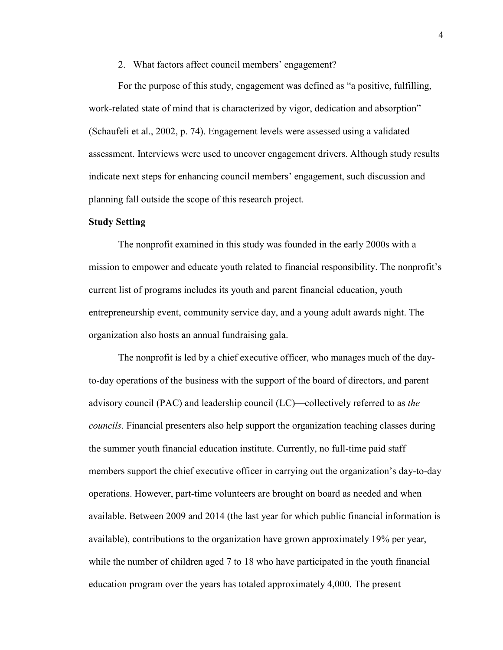#### 2. What factors affect council members' engagement?

For the purpose of this study, engagement was defined as "a positive, fulfilling, work-related state of mind that is characterized by vigor, dedication and absorption" (Schaufeli et al., 2002, p. 74). Engagement levels were assessed using a validated assessment. Interviews were used to uncover engagement drivers. Although study results indicate next steps for enhancing council members' engagement, such discussion and planning fall outside the scope of this research project.

#### **Study Setting**

The nonprofit examined in this study was founded in the early 2000s with a mission to empower and educate youth related to financial responsibility. The nonprofit's current list of programs includes its youth and parent financial education, youth entrepreneurship event, community service day, and a young adult awards night. The organization also hosts an annual fundraising gala.

The nonprofit is led by a chief executive officer, who manages much of the dayto-day operations of the business with the support of the board of directors, and parent advisory council (PAC) and leadership council (LC)—collectively referred to as *the councils*. Financial presenters also help support the organization teaching classes during the summer youth financial education institute. Currently, no full-time paid staff members support the chief executive officer in carrying out the organization's day-to-day operations. However, part-time volunteers are brought on board as needed and when available. Between 2009 and 2014 (the last year for which public financial information is available), contributions to the organization have grown approximately 19% per year, while the number of children aged 7 to 18 who have participated in the youth financial education program over the years has totaled approximately 4,000. The present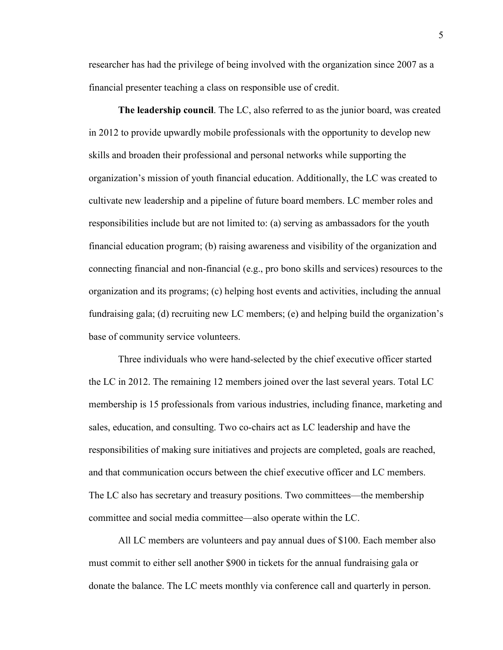researcher has had the privilege of being involved with the organization since 2007 as a financial presenter teaching a class on responsible use of credit.

**The leadership council**. The LC, also referred to as the junior board, was created in 2012 to provide upwardly mobile professionals with the opportunity to develop new skills and broaden their professional and personal networks while supporting the organization's mission of youth financial education. Additionally, the LC was created to cultivate new leadership and a pipeline of future board members. LC member roles and responsibilities include but are not limited to: (a) serving as ambassadors for the youth financial education program; (b) raising awareness and visibility of the organization and connecting financial and non-financial (e.g., pro bono skills and services) resources to the organization and its programs; (c) helping host events and activities, including the annual fundraising gala; (d) recruiting new LC members; (e) and helping build the organization's base of community service volunteers.

Three individuals who were hand-selected by the chief executive officer started the LC in 2012. The remaining 12 members joined over the last several years. Total LC membership is 15 professionals from various industries, including finance, marketing and sales, education, and consulting. Two co-chairs act as LC leadership and have the responsibilities of making sure initiatives and projects are completed, goals are reached, and that communication occurs between the chief executive officer and LC members. The LC also has secretary and treasury positions. Two committees—the membership committee and social media committee—also operate within the LC.

All LC members are volunteers and pay annual dues of \$100. Each member also must commit to either sell another \$900 in tickets for the annual fundraising gala or donate the balance. The LC meets monthly via conference call and quarterly in person.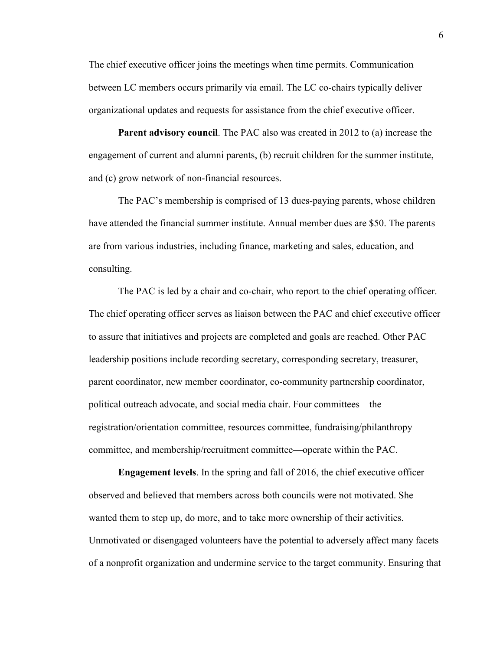The chief executive officer joins the meetings when time permits. Communication between LC members occurs primarily via email. The LC co-chairs typically deliver organizational updates and requests for assistance from the chief executive officer.

**Parent advisory council**. The PAC also was created in 2012 to (a) increase the engagement of current and alumni parents, (b) recruit children for the summer institute, and (c) grow network of non-financial resources.

The PAC's membership is comprised of 13 dues-paying parents, whose children have attended the financial summer institute. Annual member dues are \$50. The parents are from various industries, including finance, marketing and sales, education, and consulting.

The PAC is led by a chair and co-chair, who report to the chief operating officer. The chief operating officer serves as liaison between the PAC and chief executive officer to assure that initiatives and projects are completed and goals are reached. Other PAC leadership positions include recording secretary, corresponding secretary, treasurer, parent coordinator, new member coordinator, co-community partnership coordinator, political outreach advocate, and social media chair. Four committees—the registration/orientation committee, resources committee, fundraising/philanthropy committee, and membership/recruitment committee—operate within the PAC.

**Engagement levels**. In the spring and fall of 2016, the chief executive officer observed and believed that members across both councils were not motivated. She wanted them to step up, do more, and to take more ownership of their activities. Unmotivated or disengaged volunteers have the potential to adversely affect many facets of a nonprofit organization and undermine service to the target community. Ensuring that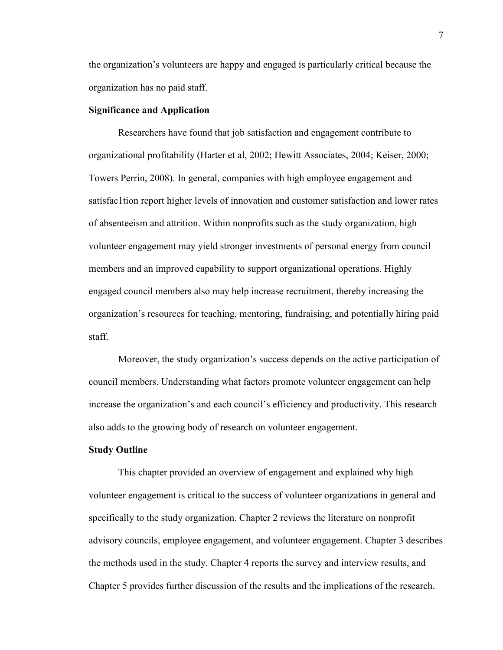the organization's volunteers are happy and engaged is particularly critical because the organization has no paid staff.

#### **Significance and Application**

Researchers have found that job satisfaction and engagement contribute to organizational profitability (Harter et al, 2002; Hewitt Associates, 2004; Keiser, 2000; Towers Perrin, 2008). In general, companies with high employee engagement and satisfac1tion report higher levels of innovation and customer satisfaction and lower rates of absenteeism and attrition. Within nonprofits such as the study organization, high volunteer engagement may yield stronger investments of personal energy from council members and an improved capability to support organizational operations. Highly engaged council members also may help increase recruitment, thereby increasing the organization's resources for teaching, mentoring, fundraising, and potentially hiring paid staff.

Moreover, the study organization's success depends on the active participation of council members. Understanding what factors promote volunteer engagement can help increase the organization's and each council's efficiency and productivity. This research also adds to the growing body of research on volunteer engagement.

#### **Study Outline**

This chapter provided an overview of engagement and explained why high volunteer engagement is critical to the success of volunteer organizations in general and specifically to the study organization. Chapter 2 reviews the literature on nonprofit advisory councils, employee engagement, and volunteer engagement. Chapter 3 describes the methods used in the study. Chapter 4 reports the survey and interview results, and Chapter 5 provides further discussion of the results and the implications of the research.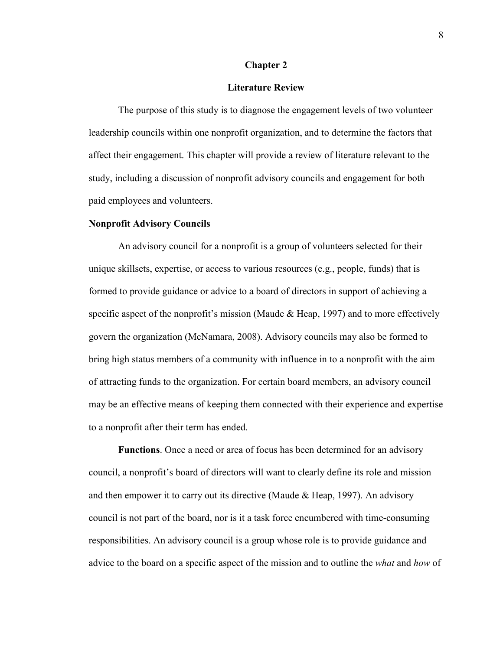#### **Chapter 2**

#### **Literature Review**

The purpose of this study is to diagnose the engagement levels of two volunteer leadership councils within one nonprofit organization, and to determine the factors that affect their engagement. This chapter will provide a review of literature relevant to the study, including a discussion of nonprofit advisory councils and engagement for both paid employees and volunteers.

#### **Nonprofit Advisory Councils**

An advisory council for a nonprofit is a group of volunteers selected for their unique skillsets, expertise, or access to various resources (e.g., people, funds) that is formed to provide guidance or advice to a board of directors in support of achieving a specific aspect of the nonprofit's mission (Maude & Heap, 1997) and to more effectively govern the organization (McNamara, 2008). Advisory councils may also be formed to bring high status members of a community with influence in to a nonprofit with the aim of attracting funds to the organization. For certain board members, an advisory council may be an effective means of keeping them connected with their experience and expertise to a nonprofit after their term has ended.

**Functions**. Once a need or area of focus has been determined for an advisory council, a nonprofit's board of directors will want to clearly define its role and mission and then empower it to carry out its directive (Maude & Heap, 1997). An advisory council is not part of the board, nor is it a task force encumbered with time-consuming responsibilities. An advisory council is a group whose role is to provide guidance and advice to the board on a specific aspect of the mission and to outline the *what* and *how* of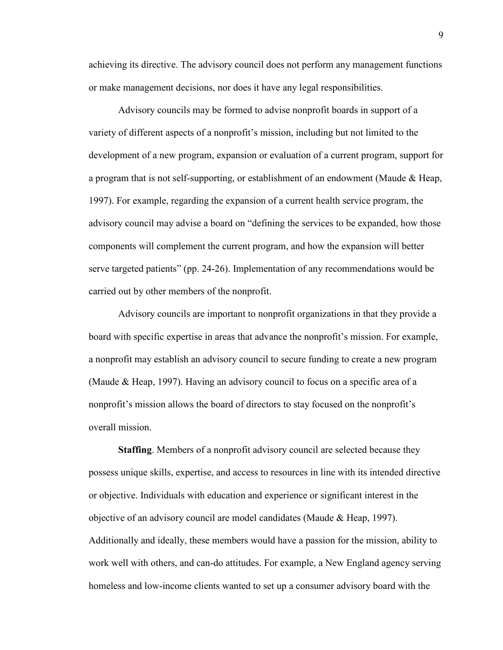achieving its directive. The advisory council does not perform any management functions or make management decisions, nor does it have any legal responsibilities.

Advisory councils may be formed to advise nonprofit boards in support of a variety of different aspects of a nonprofit's mission, including but not limited to the development of a new program, expansion or evaluation of a current program, support for a program that is not self-supporting, or establishment of an endowment (Maude & Heap, 1997). For example, regarding the expansion of a current health service program, the advisory council may advise a board on "defining the services to be expanded, how those components will complement the current program, and how the expansion will better serve targeted patients" (pp. 24-26). Implementation of any recommendations would be carried out by other members of the nonprofit.

Advisory councils are important to nonprofit organizations in that they provide a board with specific expertise in areas that advance the nonprofit's mission. For example, a nonprofit may establish an advisory council to secure funding to create a new program (Maude & Heap, 1997). Having an advisory council to focus on a specific area of a nonprofit's mission allows the board of directors to stay focused on the nonprofit's overall mission.

**Staffing**. Members of a nonprofit advisory council are selected because they possess unique skills, expertise, and access to resources in line with its intended directive or objective. Individuals with education and experience or significant interest in the objective of an advisory council are model candidates (Maude & Heap, 1997). Additionally and ideally, these members would have a passion for the mission, ability to work well with others, and can-do attitudes. For example, a New England agency serving homeless and low-income clients wanted to set up a consumer advisory board with the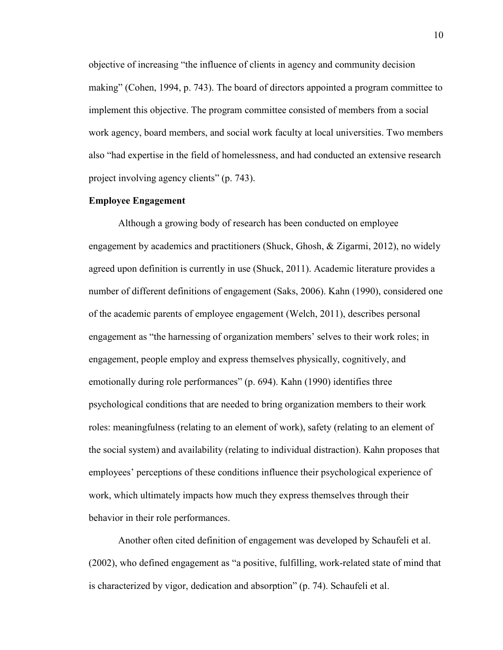objective of increasing "the influence of clients in agency and community decision making" (Cohen, 1994, p. 743). The board of directors appointed a program committee to implement this objective. The program committee consisted of members from a social work agency, board members, and social work faculty at local universities. Two members also "had expertise in the field of homelessness, and had conducted an extensive research project involving agency clients" (p. 743).

#### **Employee Engagement**

Although a growing body of research has been conducted on employee engagement by academics and practitioners (Shuck, Ghosh, & Zigarmi, 2012), no widely agreed upon definition is currently in use (Shuck, 2011). Academic literature provides a number of different definitions of engagement (Saks, 2006). Kahn (1990), considered one of the academic parents of employee engagement (Welch, 2011), describes personal engagement as "the harnessing of organization members' selves to their work roles; in engagement, people employ and express themselves physically, cognitively, and emotionally during role performances" (p. 694). Kahn (1990) identifies three psychological conditions that are needed to bring organization members to their work roles: meaningfulness (relating to an element of work), safety (relating to an element of the social system) and availability (relating to individual distraction). Kahn proposes that employees' perceptions of these conditions influence their psychological experience of work, which ultimately impacts how much they express themselves through their behavior in their role performances.

Another often cited definition of engagement was developed by Schaufeli et al. (2002), who defined engagement as "a positive, fulfilling, work-related state of mind that is characterized by vigor, dedication and absorption" (p. 74). Schaufeli et al.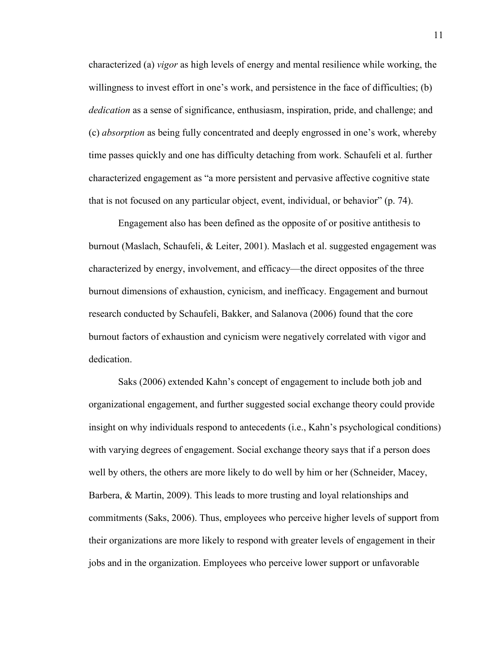characterized (a) *vigor* as high levels of energy and mental resilience while working, the willingness to invest effort in one's work, and persistence in the face of difficulties; (b) *dedication* as a sense of significance, enthusiasm, inspiration, pride, and challenge; and (c) *absorption* as being fully concentrated and deeply engrossed in one's work, whereby time passes quickly and one has difficulty detaching from work. Schaufeli et al. further characterized engagement as "a more persistent and pervasive affective cognitive state that is not focused on any particular object, event, individual, or behavior" (p. 74).

Engagement also has been defined as the opposite of or positive antithesis to burnout (Maslach, Schaufeli, & Leiter, 2001). Maslach et al. suggested engagement was characterized by energy, involvement, and efficacy—the direct opposites of the three burnout dimensions of exhaustion, cynicism, and inefficacy. Engagement and burnout research conducted by Schaufeli, Bakker, and Salanova (2006) found that the core burnout factors of exhaustion and cynicism were negatively correlated with vigor and dedication.

Saks (2006) extended Kahn's concept of engagement to include both job and organizational engagement, and further suggested social exchange theory could provide insight on why individuals respond to antecedents (i.e., Kahn's psychological conditions) with varying degrees of engagement. Social exchange theory says that if a person does well by others, the others are more likely to do well by him or her (Schneider, Macey, Barbera, & Martin, 2009). This leads to more trusting and loyal relationships and commitments (Saks, 2006). Thus, employees who perceive higher levels of support from their organizations are more likely to respond with greater levels of engagement in their jobs and in the organization. Employees who perceive lower support or unfavorable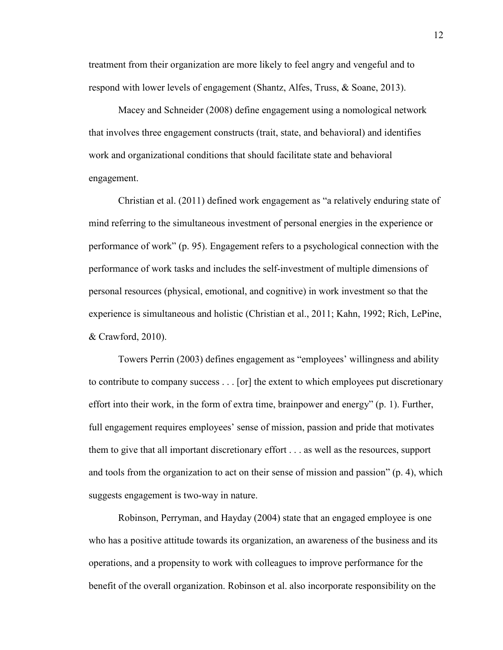treatment from their organization are more likely to feel angry and vengeful and to respond with lower levels of engagement (Shantz, Alfes, Truss, & Soane, 2013).

Macey and Schneider (2008) define engagement using a nomological network that involves three engagement constructs (trait, state, and behavioral) and identifies work and organizational conditions that should facilitate state and behavioral engagement.

Christian et al. (2011) defined work engagement as "a relatively enduring state of mind referring to the simultaneous investment of personal energies in the experience or performance of work" (p. 95). Engagement refers to a psychological connection with the performance of work tasks and includes the self-investment of multiple dimensions of personal resources (physical, emotional, and cognitive) in work investment so that the experience is simultaneous and holistic (Christian et al., 2011; Kahn, 1992; Rich, LePine, & Crawford, 2010).

Towers Perrin (2003) defines engagement as "employees' willingness and ability to contribute to company success . . . [or] the extent to which employees put discretionary effort into their work, in the form of extra time, brainpower and energy" (p. 1). Further, full engagement requires employees' sense of mission, passion and pride that motivates them to give that all important discretionary effort . . . as well as the resources, support and tools from the organization to act on their sense of mission and passion" (p. 4), which suggests engagement is two-way in nature.

Robinson, Perryman, and Hayday (2004) state that an engaged employee is one who has a positive attitude towards its organization, an awareness of the business and its operations, and a propensity to work with colleagues to improve performance for the benefit of the overall organization. Robinson et al. also incorporate responsibility on the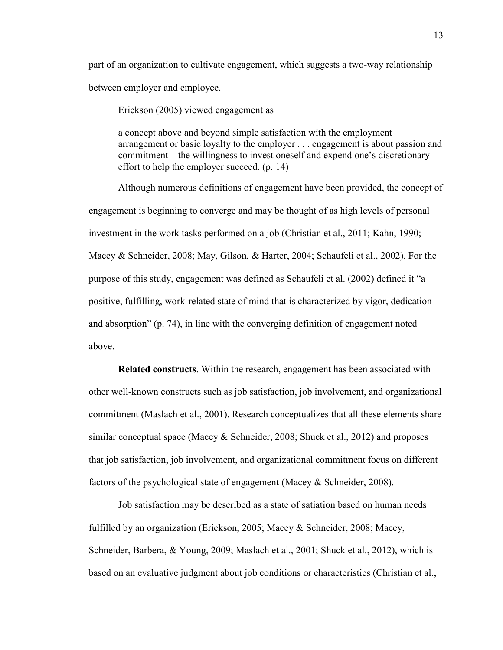part of an organization to cultivate engagement, which suggests a two-way relationship between employer and employee.

Erickson (2005) viewed engagement as

a concept above and beyond simple satisfaction with the employment arrangement or basic loyalty to the employer . . . engagement is about passion and commitment—the willingness to invest oneself and expend one's discretionary effort to help the employer succeed. (p. 14)

Although numerous definitions of engagement have been provided, the concept of engagement is beginning to converge and may be thought of as high levels of personal investment in the work tasks performed on a job (Christian et al., 2011; Kahn, 1990; Macey & Schneider, 2008; May, Gilson, & Harter, 2004; Schaufeli et al., 2002). For the purpose of this study, engagement was defined as Schaufeli et al. (2002) defined it "a positive, fulfilling, work-related state of mind that is characterized by vigor, dedication and absorption" (p. 74), in line with the converging definition of engagement noted above.

**Related constructs**. Within the research, engagement has been associated with other well-known constructs such as job satisfaction, job involvement, and organizational commitment (Maslach et al., 2001). Research conceptualizes that all these elements share similar conceptual space (Macey  $\&$  Schneider, 2008; Shuck et al., 2012) and proposes that job satisfaction, job involvement, and organizational commitment focus on different factors of the psychological state of engagement (Macey & Schneider, 2008).

Job satisfaction may be described as a state of satiation based on human needs fulfilled by an organization (Erickson, 2005; Macey & Schneider, 2008; Macey, Schneider, Barbera, & Young, 2009; Maslach et al., 2001; Shuck et al., 2012), which is based on an evaluative judgment about job conditions or characteristics (Christian et al.,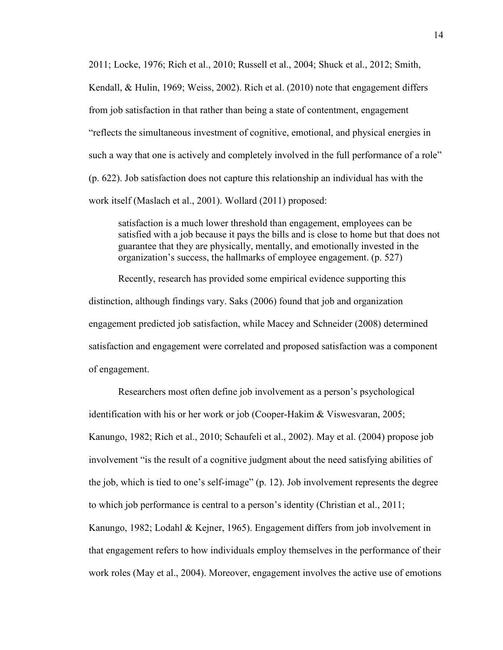2011; Locke, 1976; Rich et al., 2010; Russell et al., 2004; Shuck et al., 2012; Smith, Kendall, & Hulin, 1969; Weiss, 2002). Rich et al. (2010) note that engagement differs from job satisfaction in that rather than being a state of contentment, engagement "reflects the simultaneous investment of cognitive, emotional, and physical energies in such a way that one is actively and completely involved in the full performance of a role" (p. 622). Job satisfaction does not capture this relationship an individual has with the work itself (Maslach et al., 2001). Wollard (2011) proposed:

satisfaction is a much lower threshold than engagement, employees can be satisfied with a job because it pays the bills and is close to home but that does not guarantee that they are physically, mentally, and emotionally invested in the organization's success, the hallmarks of employee engagement. (p. 527)

Recently, research has provided some empirical evidence supporting this distinction, although findings vary. Saks (2006) found that job and organization engagement predicted job satisfaction, while Macey and Schneider (2008) determined satisfaction and engagement were correlated and proposed satisfaction was a component of engagement.

Researchers most often define job involvement as a person's psychological identification with his or her work or job (Cooper-Hakim & Viswesvaran, 2005; Kanungo, 1982; Rich et al., 2010; Schaufeli et al., 2002). May et al. (2004) propose job involvement "is the result of a cognitive judgment about the need satisfying abilities of the job, which is tied to one's self-image" (p. 12). Job involvement represents the degree to which job performance is central to a person's identity (Christian et al., 2011; Kanungo, 1982; Lodahl & Kejner, 1965). Engagement differs from job involvement in that engagement refers to how individuals employ themselves in the performance of their work roles (May et al., 2004). Moreover, engagement involves the active use of emotions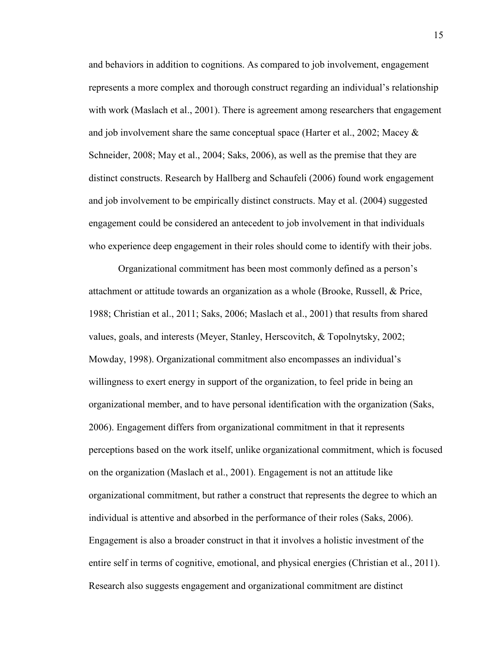and behaviors in addition to cognitions. As compared to job involvement, engagement represents a more complex and thorough construct regarding an individual's relationship with work (Maslach et al., 2001). There is agreement among researchers that engagement and job involvement share the same conceptual space (Harter et al., 2002; Macey & Schneider, 2008; May et al., 2004; Saks, 2006), as well as the premise that they are distinct constructs. Research by Hallberg and Schaufeli (2006) found work engagement and job involvement to be empirically distinct constructs. May et al. (2004) suggested engagement could be considered an antecedent to job involvement in that individuals who experience deep engagement in their roles should come to identify with their jobs.

Organizational commitment has been most commonly defined as a person's attachment or attitude towards an organization as a whole (Brooke, Russell, & Price, 1988; Christian et al., 2011; Saks, 2006; Maslach et al., 2001) that results from shared values, goals, and interests (Meyer, Stanley, Herscovitch, & Topolnytsky, 2002; Mowday, 1998). Organizational commitment also encompasses an individual's willingness to exert energy in support of the organization, to feel pride in being an organizational member, and to have personal identification with the organization (Saks, 2006). Engagement differs from organizational commitment in that it represents perceptions based on the work itself, unlike organizational commitment, which is focused on the organization (Maslach et al., 2001). Engagement is not an attitude like organizational commitment, but rather a construct that represents the degree to which an individual is attentive and absorbed in the performance of their roles (Saks, 2006). Engagement is also a broader construct in that it involves a holistic investment of the entire self in terms of cognitive, emotional, and physical energies (Christian et al., 2011). Research also suggests engagement and organizational commitment are distinct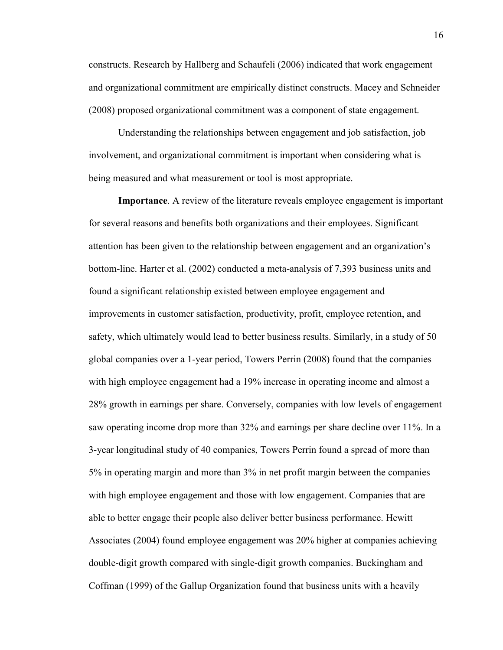constructs. Research by Hallberg and Schaufeli (2006) indicated that work engagement and organizational commitment are empirically distinct constructs. Macey and Schneider (2008) proposed organizational commitment was a component of state engagement.

Understanding the relationships between engagement and job satisfaction, job involvement, and organizational commitment is important when considering what is being measured and what measurement or tool is most appropriate.

**Importance**. A review of the literature reveals employee engagement is important for several reasons and benefits both organizations and their employees. Significant attention has been given to the relationship between engagement and an organization's bottom-line. Harter et al. (2002) conducted a meta-analysis of 7,393 business units and found a significant relationship existed between employee engagement and improvements in customer satisfaction, productivity, profit, employee retention, and safety, which ultimately would lead to better business results. Similarly, in a study of 50 global companies over a 1-year period, Towers Perrin (2008) found that the companies with high employee engagement had a 19% increase in operating income and almost a 28% growth in earnings per share. Conversely, companies with low levels of engagement saw operating income drop more than 32% and earnings per share decline over 11%. In a 3-year longitudinal study of 40 companies, Towers Perrin found a spread of more than 5% in operating margin and more than 3% in net profit margin between the companies with high employee engagement and those with low engagement. Companies that are able to better engage their people also deliver better business performance. Hewitt Associates (2004) found employee engagement was 20% higher at companies achieving double-digit growth compared with single-digit growth companies. Buckingham and Coffman (1999) of the Gallup Organization found that business units with a heavily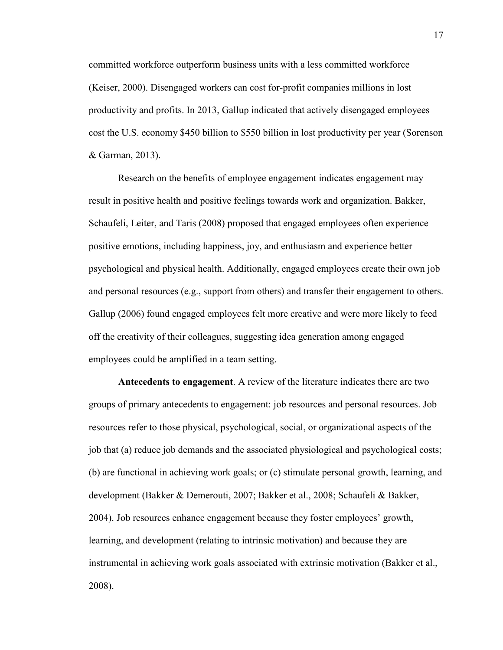committed workforce outperform business units with a less committed workforce (Keiser, 2000). Disengaged workers can cost for-profit companies millions in lost productivity and profits. In 2013, Gallup indicated that actively disengaged employees cost the U.S. economy \$450 billion to \$550 billion in lost productivity per year (Sorenson & Garman, 2013).

Research on the benefits of employee engagement indicates engagement may result in positive health and positive feelings towards work and organization. Bakker, Schaufeli, Leiter, and Taris (2008) proposed that engaged employees often experience positive emotions, including happiness, joy, and enthusiasm and experience better psychological and physical health. Additionally, engaged employees create their own job and personal resources (e.g., support from others) and transfer their engagement to others. Gallup (2006) found engaged employees felt more creative and were more likely to feed off the creativity of their colleagues, suggesting idea generation among engaged employees could be amplified in a team setting.

**Antecedents to engagement**. A review of the literature indicates there are two groups of primary antecedents to engagement: job resources and personal resources. Job resources refer to those physical, psychological, social, or organizational aspects of the job that (a) reduce job demands and the associated physiological and psychological costs; (b) are functional in achieving work goals; or (c) stimulate personal growth, learning, and development (Bakker & Demerouti, 2007; Bakker et al., 2008; Schaufeli & Bakker, 2004). Job resources enhance engagement because they foster employees' growth, learning, and development (relating to intrinsic motivation) and because they are instrumental in achieving work goals associated with extrinsic motivation (Bakker et al., 2008).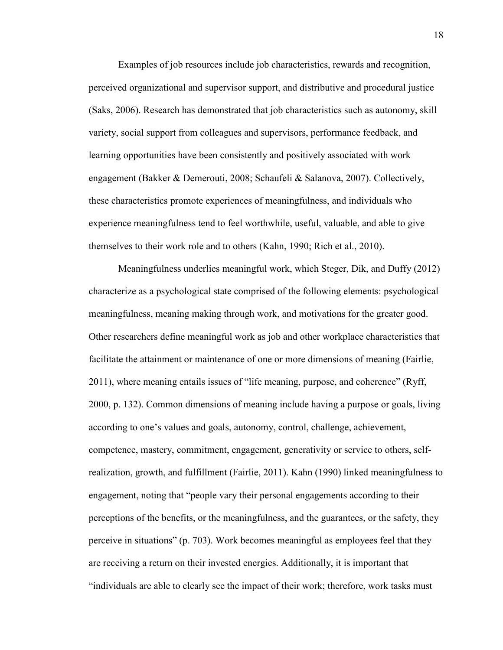Examples of job resources include job characteristics, rewards and recognition, perceived organizational and supervisor support, and distributive and procedural justice (Saks, 2006). Research has demonstrated that job characteristics such as autonomy, skill variety, social support from colleagues and supervisors, performance feedback, and learning opportunities have been consistently and positively associated with work engagement (Bakker & Demerouti, 2008; Schaufeli & Salanova, 2007). Collectively, these characteristics promote experiences of meaningfulness, and individuals who experience meaningfulness tend to feel worthwhile, useful, valuable, and able to give themselves to their work role and to others (Kahn, 1990; Rich et al., 2010).

Meaningfulness underlies meaningful work, which Steger, Dik, and Duffy (2012) characterize as a psychological state comprised of the following elements: psychological meaningfulness, meaning making through work, and motivations for the greater good. Other researchers define meaningful work as job and other workplace characteristics that facilitate the attainment or maintenance of one or more dimensions of meaning (Fairlie, 2011), where meaning entails issues of "life meaning, purpose, and coherence" (Ryff, 2000, p. 132). Common dimensions of meaning include having a purpose or goals, living according to one's values and goals, autonomy, control, challenge, achievement, competence, mastery, commitment, engagement, generativity or service to others, selfrealization, growth, and fulfillment (Fairlie, 2011). Kahn (1990) linked meaningfulness to engagement, noting that "people vary their personal engagements according to their perceptions of the benefits, or the meaningfulness, and the guarantees, or the safety, they perceive in situations" (p. 703). Work becomes meaningful as employees feel that they are receiving a return on their invested energies. Additionally, it is important that "individuals are able to clearly see the impact of their work; therefore, work tasks must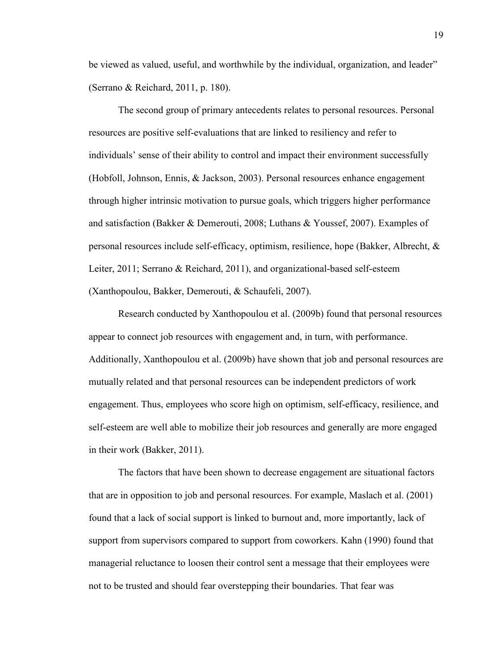be viewed as valued, useful, and worthwhile by the individual, organization, and leader" (Serrano & Reichard, 2011, p. 180).

The second group of primary antecedents relates to personal resources. Personal resources are positive self-evaluations that are linked to resiliency and refer to individuals' sense of their ability to control and impact their environment successfully (Hobfoll, Johnson, Ennis, & Jackson, 2003). Personal resources enhance engagement through higher intrinsic motivation to pursue goals, which triggers higher performance and satisfaction (Bakker & Demerouti, 2008; Luthans & Youssef, 2007). Examples of personal resources include self-efficacy, optimism, resilience, hope (Bakker, Albrecht, & Leiter, 2011; Serrano & Reichard, 2011), and organizational-based self-esteem (Xanthopoulou, Bakker, Demerouti, & Schaufeli, 2007).

Research conducted by Xanthopoulou et al. (2009b) found that personal resources appear to connect job resources with engagement and, in turn, with performance. Additionally, Xanthopoulou et al. (2009b) have shown that job and personal resources are mutually related and that personal resources can be independent predictors of work engagement. Thus, employees who score high on optimism, self-efficacy, resilience, and self-esteem are well able to mobilize their job resources and generally are more engaged in their work (Bakker, 2011).

The factors that have been shown to decrease engagement are situational factors that are in opposition to job and personal resources. For example, Maslach et al. (2001) found that a lack of social support is linked to burnout and, more importantly, lack of support from supervisors compared to support from coworkers. Kahn (1990) found that managerial reluctance to loosen their control sent a message that their employees were not to be trusted and should fear overstepping their boundaries. That fear was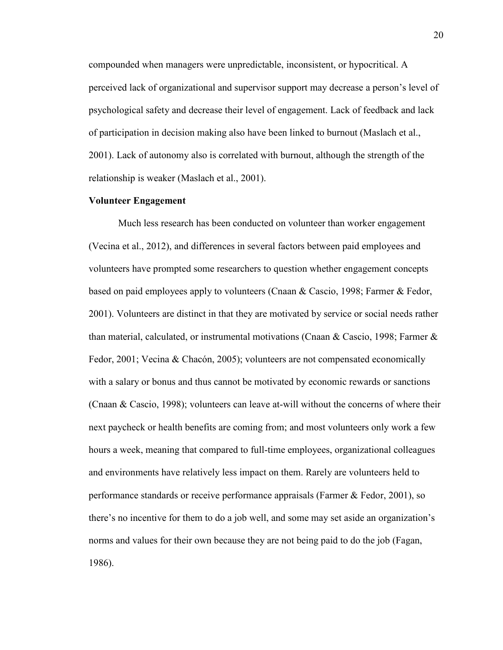compounded when managers were unpredictable, inconsistent, or hypocritical. A perceived lack of organizational and supervisor support may decrease a person's level of psychological safety and decrease their level of engagement. Lack of feedback and lack of participation in decision making also have been linked to burnout (Maslach et al., 2001). Lack of autonomy also is correlated with burnout, although the strength of the relationship is weaker (Maslach et al., 2001).

#### **Volunteer Engagement**

Much less research has been conducted on volunteer than worker engagement (Vecina et al., 2012), and differences in several factors between paid employees and volunteers have prompted some researchers to question whether engagement concepts based on paid employees apply to volunteers (Cnaan & Cascio, 1998; Farmer & Fedor, 2001). Volunteers are distinct in that they are motivated by service or social needs rather than material, calculated, or instrumental motivations (Cnaan & Cascio, 1998; Farmer & Fedor, 2001; Vecina & Chacón, 2005); volunteers are not compensated economically with a salary or bonus and thus cannot be motivated by economic rewards or sanctions (Cnaan & Cascio, 1998); volunteers can leave at-will without the concerns of where their next paycheck or health benefits are coming from; and most volunteers only work a few hours a week, meaning that compared to full-time employees, organizational colleagues and environments have relatively less impact on them. Rarely are volunteers held to performance standards or receive performance appraisals (Farmer & Fedor, 2001), so there's no incentive for them to do a job well, and some may set aside an organization's norms and values for their own because they are not being paid to do the job (Fagan, 1986).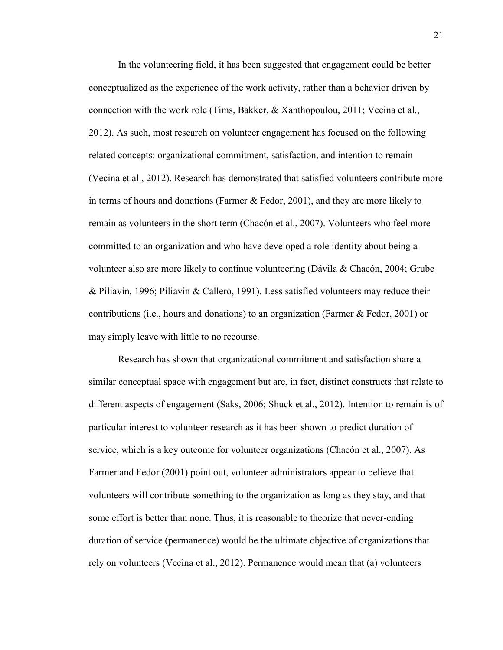In the volunteering field, it has been suggested that engagement could be better conceptualized as the experience of the work activity, rather than a behavior driven by connection with the work role (Tims, Bakker, & Xanthopoulou, 2011; Vecina et al., 2012). As such, most research on volunteer engagement has focused on the following related concepts: organizational commitment, satisfaction, and intention to remain (Vecina et al., 2012). Research has demonstrated that satisfied volunteers contribute more in terms of hours and donations (Farmer & Fedor, 2001), and they are more likely to remain as volunteers in the short term (Chacón et al., 2007). Volunteers who feel more committed to an organization and who have developed a role identity about being a volunteer also are more likely to continue volunteering (Dávila & Chacón, 2004; Grube & Piliavin, 1996; Piliavin & Callero, 1991). Less satisfied volunteers may reduce their contributions (i.e., hours and donations) to an organization (Farmer & Fedor, 2001) or may simply leave with little to no recourse.

Research has shown that organizational commitment and satisfaction share a similar conceptual space with engagement but are, in fact, distinct constructs that relate to different aspects of engagement (Saks, 2006; Shuck et al., 2012). Intention to remain is of particular interest to volunteer research as it has been shown to predict duration of service, which is a key outcome for volunteer organizations (Chacón et al., 2007). As Farmer and Fedor (2001) point out, volunteer administrators appear to believe that volunteers will contribute something to the organization as long as they stay, and that some effort is better than none. Thus, it is reasonable to theorize that never-ending duration of service (permanence) would be the ultimate objective of organizations that rely on volunteers (Vecina et al., 2012). Permanence would mean that (a) volunteers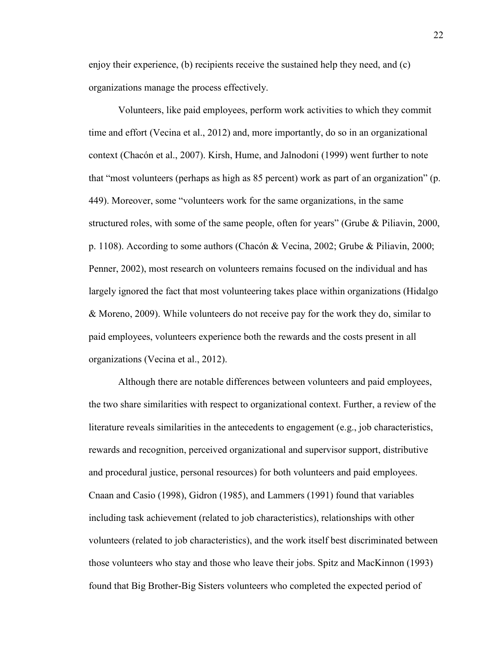enjoy their experience, (b) recipients receive the sustained help they need, and (c) organizations manage the process effectively.

Volunteers, like paid employees, perform work activities to which they commit time and effort (Vecina et al., 2012) and, more importantly, do so in an organizational context (Chacón et al., 2007). Kirsh, Hume, and Jalnodoni (1999) went further to note that "most volunteers (perhaps as high as 85 percent) work as part of an organization" (p. 449). Moreover, some "volunteers work for the same organizations, in the same structured roles, with some of the same people, often for years" (Grube & Piliavin, 2000, p. 1108). According to some authors (Chacón & Vecina, 2002; Grube & Piliavin, 2000; Penner, 2002), most research on volunteers remains focused on the individual and has largely ignored the fact that most volunteering takes place within organizations (Hidalgo & Moreno, 2009). While volunteers do not receive pay for the work they do, similar to paid employees, volunteers experience both the rewards and the costs present in all organizations (Vecina et al., 2012).

Although there are notable differences between volunteers and paid employees, the two share similarities with respect to organizational context. Further, a review of the literature reveals similarities in the antecedents to engagement (e.g., job characteristics, rewards and recognition, perceived organizational and supervisor support, distributive and procedural justice, personal resources) for both volunteers and paid employees. Cnaan and Casio (1998), Gidron (1985), and Lammers (1991) found that variables including task achievement (related to job characteristics), relationships with other volunteers (related to job characteristics), and the work itself best discriminated between those volunteers who stay and those who leave their jobs. Spitz and MacKinnon (1993) found that Big Brother-Big Sisters volunteers who completed the expected period of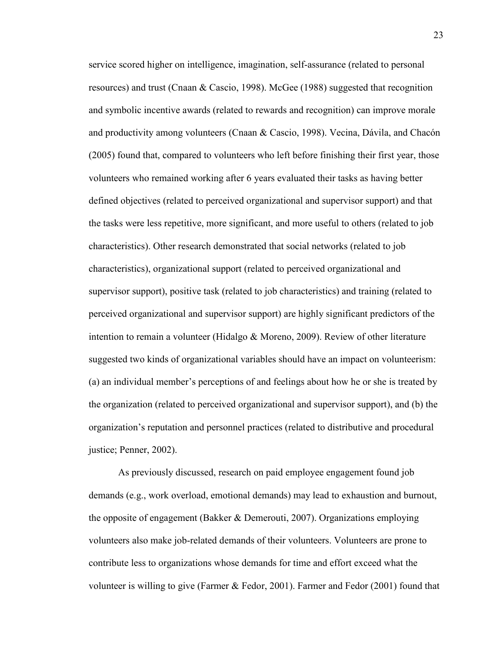service scored higher on intelligence, imagination, self-assurance (related to personal resources) and trust (Cnaan & Cascio, 1998). McGee (1988) suggested that recognition and symbolic incentive awards (related to rewards and recognition) can improve morale and productivity among volunteers (Cnaan & Cascio, 1998). Vecina, Dávila, and Chacón (2005) found that, compared to volunteers who left before finishing their first year, those volunteers who remained working after 6 years evaluated their tasks as having better defined objectives (related to perceived organizational and supervisor support) and that the tasks were less repetitive, more significant, and more useful to others (related to job characteristics). Other research demonstrated that social networks (related to job characteristics), organizational support (related to perceived organizational and supervisor support), positive task (related to job characteristics) and training (related to perceived organizational and supervisor support) are highly significant predictors of the intention to remain a volunteer (Hidalgo & Moreno, 2009). Review of other literature suggested two kinds of organizational variables should have an impact on volunteerism: (a) an individual member's perceptions of and feelings about how he or she is treated by the organization (related to perceived organizational and supervisor support), and (b) the organization's reputation and personnel practices (related to distributive and procedural justice; Penner, 2002).

As previously discussed, research on paid employee engagement found job demands (e.g., work overload, emotional demands) may lead to exhaustion and burnout, the opposite of engagement (Bakker & Demerouti, 2007). Organizations employing volunteers also make job-related demands of their volunteers. Volunteers are prone to contribute less to organizations whose demands for time and effort exceed what the volunteer is willing to give (Farmer & Fedor, 2001). Farmer and Fedor (2001) found that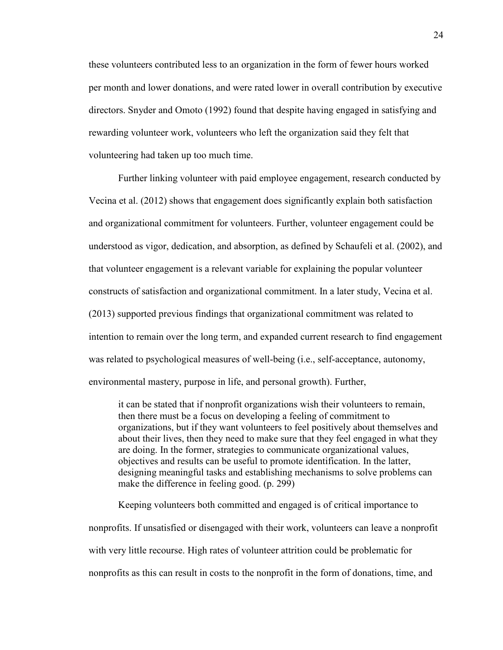these volunteers contributed less to an organization in the form of fewer hours worked per month and lower donations, and were rated lower in overall contribution by executive directors. Snyder and Omoto (1992) found that despite having engaged in satisfying and rewarding volunteer work, volunteers who left the organization said they felt that volunteering had taken up too much time.

Further linking volunteer with paid employee engagement, research conducted by Vecina et al. (2012) shows that engagement does significantly explain both satisfaction and organizational commitment for volunteers. Further, volunteer engagement could be understood as vigor, dedication, and absorption, as defined by Schaufeli et al. (2002), and that volunteer engagement is a relevant variable for explaining the popular volunteer constructs of satisfaction and organizational commitment. In a later study, Vecina et al. (2013) supported previous findings that organizational commitment was related to intention to remain over the long term, and expanded current research to find engagement was related to psychological measures of well-being (i.e., self-acceptance, autonomy, environmental mastery, purpose in life, and personal growth). Further,

it can be stated that if nonprofit organizations wish their volunteers to remain, then there must be a focus on developing a feeling of commitment to organizations, but if they want volunteers to feel positively about themselves and about their lives, then they need to make sure that they feel engaged in what they are doing. In the former, strategies to communicate organizational values, objectives and results can be useful to promote identification. In the latter, designing meaningful tasks and establishing mechanisms to solve problems can make the difference in feeling good. (p. 299)

Keeping volunteers both committed and engaged is of critical importance to nonprofits. If unsatisfied or disengaged with their work, volunteers can leave a nonprofit with very little recourse. High rates of volunteer attrition could be problematic for nonprofits as this can result in costs to the nonprofit in the form of donations, time, and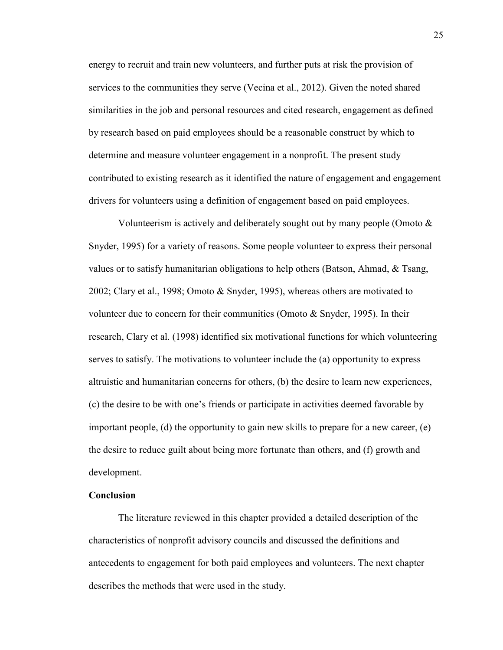energy to recruit and train new volunteers, and further puts at risk the provision of services to the communities they serve (Vecina et al., 2012). Given the noted shared similarities in the job and personal resources and cited research, engagement as defined by research based on paid employees should be a reasonable construct by which to determine and measure volunteer engagement in a nonprofit. The present study contributed to existing research as it identified the nature of engagement and engagement drivers for volunteers using a definition of engagement based on paid employees.

Volunteerism is actively and deliberately sought out by many people (Omoto  $\&$ Snyder, 1995) for a variety of reasons. Some people volunteer to express their personal values or to satisfy humanitarian obligations to help others (Batson, Ahmad, & Tsang, 2002; Clary et al., 1998; Omoto & Snyder, 1995), whereas others are motivated to volunteer due to concern for their communities (Omoto & Snyder, 1995). In their research, Clary et al. (1998) identified six motivational functions for which volunteering serves to satisfy. The motivations to volunteer include the (a) opportunity to express altruistic and humanitarian concerns for others, (b) the desire to learn new experiences, (c) the desire to be with one's friends or participate in activities deemed favorable by important people, (d) the opportunity to gain new skills to prepare for a new career, (e) the desire to reduce guilt about being more fortunate than others, and (f) growth and development.

### **Conclusion**

The literature reviewed in this chapter provided a detailed description of the characteristics of nonprofit advisory councils and discussed the definitions and antecedents to engagement for both paid employees and volunteers. The next chapter describes the methods that were used in the study.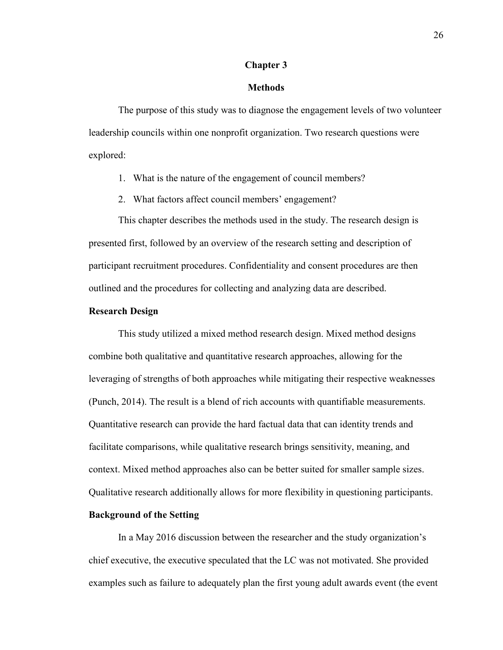#### **Chapter 3**

#### **Methods**

The purpose of this study was to diagnose the engagement levels of two volunteer leadership councils within one nonprofit organization. Two research questions were explored:

- 1. What is the nature of the engagement of council members?
- 2. What factors affect council members' engagement?

This chapter describes the methods used in the study. The research design is presented first, followed by an overview of the research setting and description of participant recruitment procedures. Confidentiality and consent procedures are then outlined and the procedures for collecting and analyzing data are described.

### **Research Design**

This study utilized a mixed method research design. Mixed method designs combine both qualitative and quantitative research approaches, allowing for the leveraging of strengths of both approaches while mitigating their respective weaknesses (Punch, 2014). The result is a blend of rich accounts with quantifiable measurements. Quantitative research can provide the hard factual data that can identity trends and facilitate comparisons, while qualitative research brings sensitivity, meaning, and context. Mixed method approaches also can be better suited for smaller sample sizes. Qualitative research additionally allows for more flexibility in questioning participants.

## **Background of the Setting**

In a May 2016 discussion between the researcher and the study organization's chief executive, the executive speculated that the LC was not motivated. She provided examples such as failure to adequately plan the first young adult awards event (the event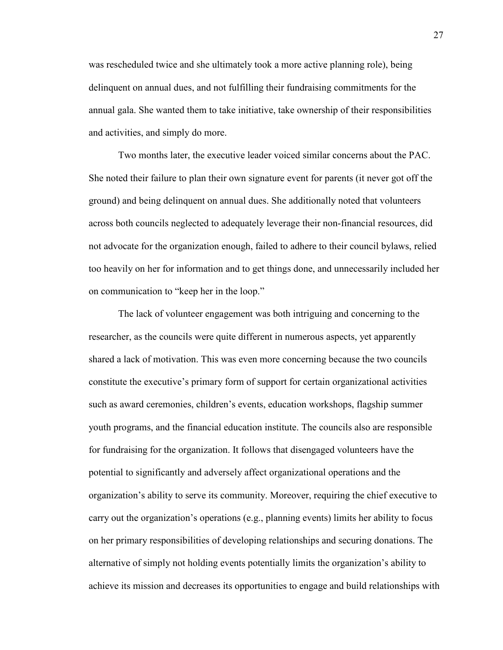was rescheduled twice and she ultimately took a more active planning role), being delinquent on annual dues, and not fulfilling their fundraising commitments for the annual gala. She wanted them to take initiative, take ownership of their responsibilities and activities, and simply do more.

Two months later, the executive leader voiced similar concerns about the PAC. She noted their failure to plan their own signature event for parents (it never got off the ground) and being delinquent on annual dues. She additionally noted that volunteers across both councils neglected to adequately leverage their non-financial resources, did not advocate for the organization enough, failed to adhere to their council bylaws, relied too heavily on her for information and to get things done, and unnecessarily included her on communication to "keep her in the loop."

The lack of volunteer engagement was both intriguing and concerning to the researcher, as the councils were quite different in numerous aspects, yet apparently shared a lack of motivation. This was even more concerning because the two councils constitute the executive's primary form of support for certain organizational activities such as award ceremonies, children's events, education workshops, flagship summer youth programs, and the financial education institute. The councils also are responsible for fundraising for the organization. It follows that disengaged volunteers have the potential to significantly and adversely affect organizational operations and the organization's ability to serve its community. Moreover, requiring the chief executive to carry out the organization's operations (e.g., planning events) limits her ability to focus on her primary responsibilities of developing relationships and securing donations. The alternative of simply not holding events potentially limits the organization's ability to achieve its mission and decreases its opportunities to engage and build relationships with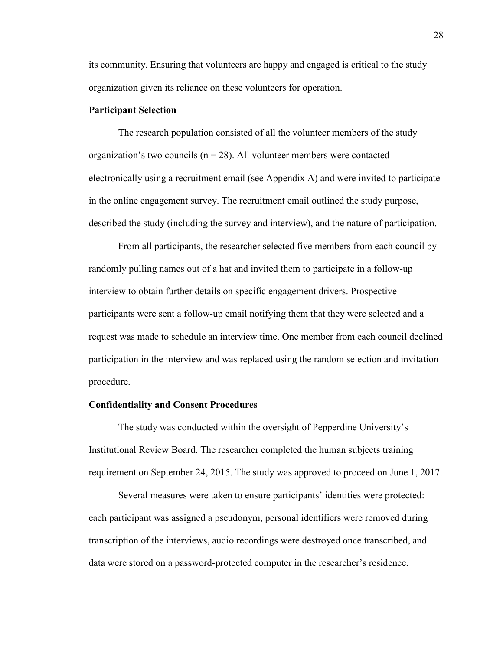its community. Ensuring that volunteers are happy and engaged is critical to the study organization given its reliance on these volunteers for operation.

## **Participant Selection**

The research population consisted of all the volunteer members of the study organization's two councils ( $n = 28$ ). All volunteer members were contacted electronically using a recruitment email (see Appendix A) and were invited to participate in the online engagement survey. The recruitment email outlined the study purpose, described the study (including the survey and interview), and the nature of participation.

From all participants, the researcher selected five members from each council by randomly pulling names out of a hat and invited them to participate in a follow-up interview to obtain further details on specific engagement drivers. Prospective participants were sent a follow-up email notifying them that they were selected and a request was made to schedule an interview time. One member from each council declined participation in the interview and was replaced using the random selection and invitation procedure.

## **Confidentiality and Consent Procedures**

The study was conducted within the oversight of Pepperdine University's Institutional Review Board. The researcher completed the human subjects training requirement on September 24, 2015. The study was approved to proceed on June 1, 2017.

Several measures were taken to ensure participants' identities were protected: each participant was assigned a pseudonym, personal identifiers were removed during transcription of the interviews, audio recordings were destroyed once transcribed, and data were stored on a password-protected computer in the researcher's residence.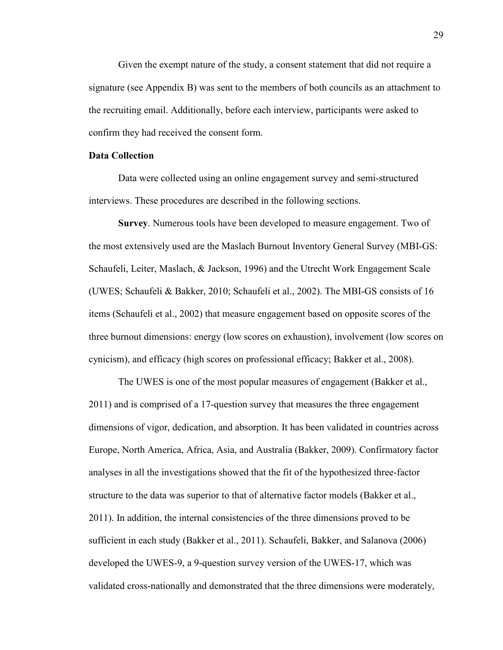Given the exempt nature of the study, a consent statement that did not require a signature (see Appendix B) was sent to the members of both councils as an attachment to the recruiting email. Additionally, before each interview, participants were asked to confirm they had received the consent form.

## **Data Collection**

Data were collected using an online engagement survey and semi-structured interviews. These procedures are described in the following sections.

**Survey**. Numerous tools have been developed to measure engagement. Two of the most extensively used are the Maslach Burnout Inventory General Survey (MBI-GS: Schaufeli, Leiter, Maslach, & Jackson, 1996) and the Utrecht Work Engagement Scale (UWES; Schaufeli & Bakker, 2010; Schaufeli et al., 2002). The MBI-GS consists of 16 items (Schaufeli et al., 2002) that measure engagement based on opposite scores of the three burnout dimensions: energy (low scores on exhaustion), involvement (low scores on cynicism), and efficacy (high scores on professional efficacy; Bakker et al., 2008).

The UWES is one of the most popular measures of engagement (Bakker et al., 2011) and is comprised of a 17-question survey that measures the three engagement dimensions of vigor, dedication, and absorption. It has been validated in countries across Europe, North America, Africa, Asia, and Australia (Bakker, 2009). Confirmatory factor analyses in all the investigations showed that the fit of the hypothesized three-factor structure to the data was superior to that of alternative factor models (Bakker et al., 2011). In addition, the internal consistencies of the three dimensions proved to be sufficient in each study (Bakker et al., 2011). Schaufeli, Bakker, and Salanova (2006) developed the UWES-9, a 9-question survey version of the UWES-17, which was validated cross-nationally and demonstrated that the three dimensions were moderately,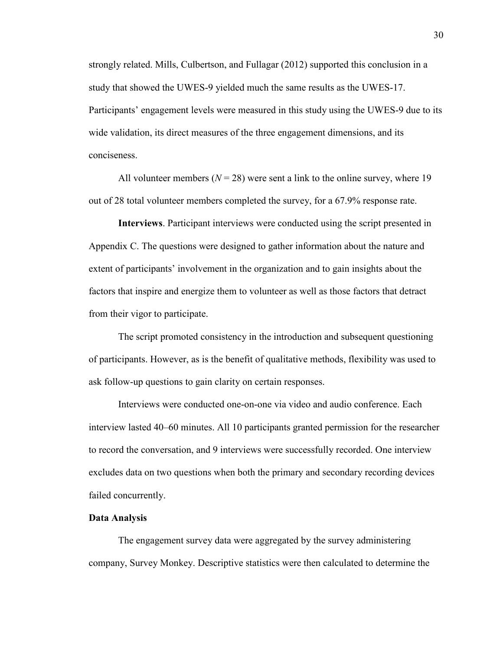strongly related. Mills, Culbertson, and Fullagar (2012) supported this conclusion in a study that showed the UWES-9 yielded much the same results as the UWES-17. Participants' engagement levels were measured in this study using the UWES-9 due to its wide validation, its direct measures of the three engagement dimensions, and its conciseness.

All volunteer members  $(N = 28)$  were sent a link to the online survey, where 19 out of 28 total volunteer members completed the survey, for a 67.9% response rate.

**Interviews**. Participant interviews were conducted using the script presented in Appendix C. The questions were designed to gather information about the nature and extent of participants' involvement in the organization and to gain insights about the factors that inspire and energize them to volunteer as well as those factors that detract from their vigor to participate.

The script promoted consistency in the introduction and subsequent questioning of participants. However, as is the benefit of qualitative methods, flexibility was used to ask follow-up questions to gain clarity on certain responses.

Interviews were conducted one-on-one via video and audio conference. Each interview lasted 40–60 minutes. All 10 participants granted permission for the researcher to record the conversation, and 9 interviews were successfully recorded. One interview excludes data on two questions when both the primary and secondary recording devices failed concurrently.

#### **Data Analysis**

The engagement survey data were aggregated by the survey administering company, Survey Monkey. Descriptive statistics were then calculated to determine the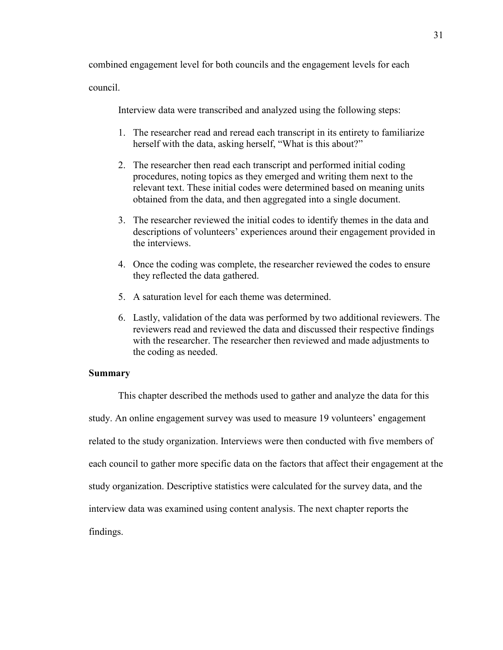combined engagement level for both councils and the engagement levels for each

council.

Interview data were transcribed and analyzed using the following steps:

- 1. The researcher read and reread each transcript in its entirety to familiarize herself with the data, asking herself, "What is this about?"
- 2. The researcher then read each transcript and performed initial coding procedures, noting topics as they emerged and writing them next to the relevant text. These initial codes were determined based on meaning units obtained from the data, and then aggregated into a single document.
- 3. The researcher reviewed the initial codes to identify themes in the data and descriptions of volunteers' experiences around their engagement provided in the interviews.
- 4. Once the coding was complete, the researcher reviewed the codes to ensure they reflected the data gathered.
- 5. A saturation level for each theme was determined.
- 6. Lastly, validation of the data was performed by two additional reviewers. The reviewers read and reviewed the data and discussed their respective findings with the researcher. The researcher then reviewed and made adjustments to the coding as needed.

## **Summary**

This chapter described the methods used to gather and analyze the data for this study. An online engagement survey was used to measure 19 volunteers' engagement related to the study organization. Interviews were then conducted with five members of each council to gather more specific data on the factors that affect their engagement at the study organization. Descriptive statistics were calculated for the survey data, and the interview data was examined using content analysis. The next chapter reports the findings.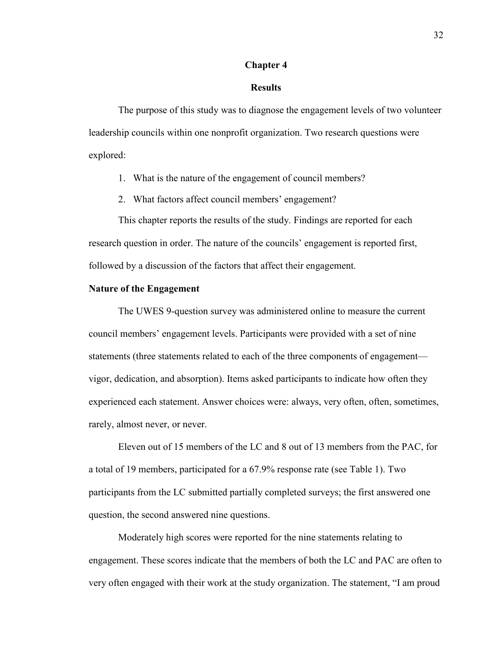# **Chapter 4**

### **Results**

The purpose of this study was to diagnose the engagement levels of two volunteer leadership councils within one nonprofit organization. Two research questions were explored:

1. What is the nature of the engagement of council members?

2. What factors affect council members' engagement?

This chapter reports the results of the study. Findings are reported for each research question in order. The nature of the councils' engagement is reported first, followed by a discussion of the factors that affect their engagement.

## **Nature of the Engagement**

The UWES 9-question survey was administered online to measure the current council members' engagement levels. Participants were provided with a set of nine statements (three statements related to each of the three components of engagement vigor, dedication, and absorption). Items asked participants to indicate how often they experienced each statement. Answer choices were: always, very often, often, sometimes, rarely, almost never, or never.

Eleven out of 15 members of the LC and 8 out of 13 members from the PAC, for a total of 19 members, participated for a 67.9% response rate (see Table 1). Two participants from the LC submitted partially completed surveys; the first answered one question, the second answered nine questions.

Moderately high scores were reported for the nine statements relating to engagement. These scores indicate that the members of both the LC and PAC are often to very often engaged with their work at the study organization. The statement, "I am proud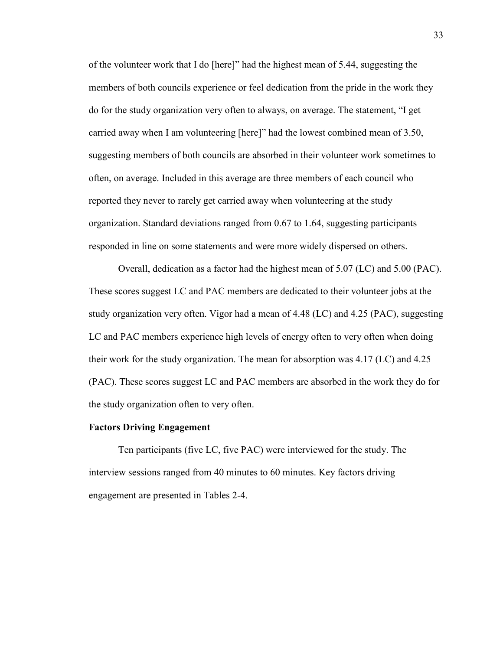of the volunteer work that I do [here]" had the highest mean of 5.44, suggesting the members of both councils experience or feel dedication from the pride in the work they do for the study organization very often to always, on average. The statement, "I get carried away when I am volunteering [here]" had the lowest combined mean of 3.50, suggesting members of both councils are absorbed in their volunteer work sometimes to often, on average. Included in this average are three members of each council who reported they never to rarely get carried away when volunteering at the study organization. Standard deviations ranged from 0.67 to 1.64, suggesting participants responded in line on some statements and were more widely dispersed on others.

Overall, dedication as a factor had the highest mean of 5.07 (LC) and 5.00 (PAC). These scores suggest LC and PAC members are dedicated to their volunteer jobs at the study organization very often. Vigor had a mean of 4.48 (LC) and 4.25 (PAC), suggesting LC and PAC members experience high levels of energy often to very often when doing their work for the study organization. The mean for absorption was 4.17 (LC) and 4.25 (PAC). These scores suggest LC and PAC members are absorbed in the work they do for the study organization often to very often.

#### **Factors Driving Engagement**

Ten participants (five LC, five PAC) were interviewed for the study. The interview sessions ranged from 40 minutes to 60 minutes. Key factors driving engagement are presented in Tables 2-4.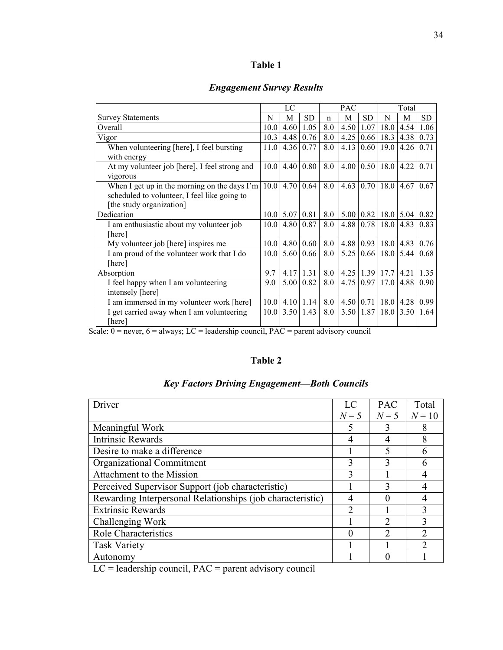|  | וח<br>и<br>Ш |  |
|--|--------------|--|
|--|--------------|--|

# *Engagement Survey Results*

|                                                                                                                          | LC   |           | <b>PAC</b>    |             |      | Total         |                      |             |           |
|--------------------------------------------------------------------------------------------------------------------------|------|-----------|---------------|-------------|------|---------------|----------------------|-------------|-----------|
| <b>Survey Statements</b>                                                                                                 | N    | М         | <b>SD</b>     | $\mathbf n$ | M    | SD            | N                    | М           | <b>SD</b> |
| Overall                                                                                                                  | 10.0 | 4.60      | 1.05          | 8.0         | 4.50 | 1.07          | 18.0                 | 4.54        | 1.06      |
| Vigor                                                                                                                    | 10.3 | 4.48      | 0.76          | 8.0         | 4.25 | 0.66          | 18.3                 | 4.38        | 0.73      |
| When volunteering [here], I feel bursting<br>with energy                                                                 | 11.0 | 4.36      | 0.77          | 8.0         | 4.13 | 0.60          | 19.0                 | 4.26        | 0.71      |
| At my volunteer job [here], I feel strong and<br>vigorous                                                                | 10.0 | 4.40      | 0.80          | 8.0         | 4.00 |               | $0.50$   18.0   4.22 |             | 0.71      |
| When I get up in the morning on the days I'm<br>scheduled to volunteer, I feel like going to<br>[the study organization] |      | 10.014.70 | 0.64          | 8.0         | 4.63 |               | $0.70$  18.0         | 4.67        | 0.67      |
| Dedication                                                                                                               | 10.0 | 5.07      | 0.81          | 8.0         | 5.00 | 0.82          |                      | $18.0$ 5.04 | 0.82      |
| I am enthusiastic about my volunteer job<br>[here]                                                                       | 10.0 | 4.80      | 0.87          | 8.0         | 4.88 | 0.78          | 18.0                 | 4.83        | 0.83      |
| My volunteer job [here] inspires me                                                                                      | 10.0 | 4.80      | 0.60          | 8.0         | 4.88 | 0.93          |                      | $18.0$ 4.83 | 0.76      |
| I am proud of the volunteer work that I do<br>[here]                                                                     | 10.0 | 5.60      | 0.66          | 8.0         | 5.25 | 0.66          | 18.0                 | 5.44        | 0.68      |
| Absorption                                                                                                               | 9.7  | 4.17      | 1.31          | 8.0         | 4.25 |               | $1.39$ 17.7          | 4.21        | 1.35      |
| I feel happy when I am volunteering<br>intensely [here]                                                                  | 9.0  | 5.00      | 0.82          | 8.0         | 4.75 | 0.97          | 17.0                 | 4.88        | 0.90      |
| I am immersed in my volunteer work [here]                                                                                | 10.0 |           | $4.10$   1.14 | 8.0         | 4.50 | 0.71          | 18.0                 | 4.28        | 0.99      |
| I get carried away when I am volunteering<br>[here]                                                                      | 10.0 | 3.50      | 1.43          | 8.0         |      | $3.50$   1.87 | 18.0                 | 3.50        | 1.64      |

Scale:  $0 =$  never,  $6 =$  always; LC = leadership council, PAC = parent advisory council

# **Table 2**

| Driver                                                     | LC    | <b>PAC</b>   | Total         |
|------------------------------------------------------------|-------|--------------|---------------|
|                                                            | $N=5$ | $N=5$        | $N = 10$      |
| Meaningful Work                                            |       |              | 8             |
| <b>Intrinsic Rewards</b>                                   |       |              | 8             |
| Desire to make a difference                                |       | 5            | 6             |
| Organizational Commitment                                  | 3     |              | 6             |
| Attachment to the Mission                                  |       |              |               |
| Perceived Supervisor Support (job characteristic)          |       | $\mathbf{R}$ | 4             |
| Rewarding Interpersonal Relationships (job characteristic) |       |              |               |
| <b>Extrinsic Rewards</b>                                   | ∍     |              | 3             |
| Challenging Work                                           |       |              | 3             |
| <b>Role Characteristics</b>                                |       |              | $\mathcal{D}$ |
| <b>Task Variety</b>                                        |       |              | $\mathcal{D}$ |
| Autonomy                                                   |       |              |               |

# *Key Factors Driving Engagement—Both Councils*

LC = leadership council, PAC = parent advisory council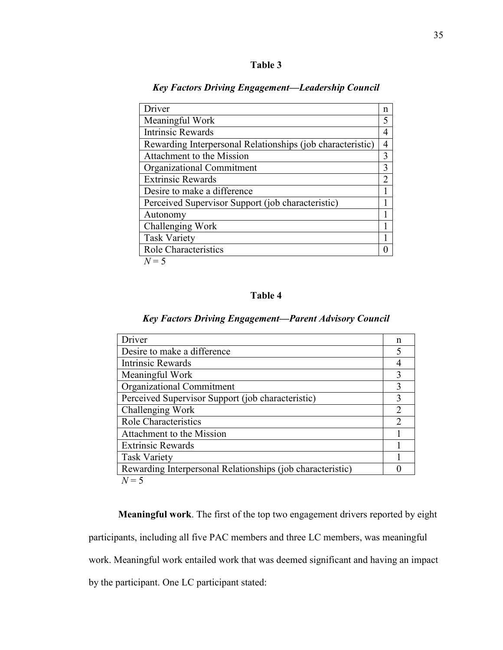| <b>Fable 3</b> |  |
|----------------|--|
|                |  |

| Driver                                                     | n |
|------------------------------------------------------------|---|
| Meaningful Work                                            | 5 |
| <b>Intrinsic Rewards</b>                                   |   |
| Rewarding Interpersonal Relationships (job characteristic) | 4 |
| Attachment to the Mission                                  | 3 |
| Organizational Commitment                                  | 3 |
| <b>Extrinsic Rewards</b>                                   |   |
| Desire to make a difference                                |   |
| Perceived Supervisor Support (job characteristic)          |   |
| Autonomy                                                   |   |
| Challenging Work                                           |   |
| <b>Task Variety</b>                                        |   |
| <b>Role Characteristics</b>                                |   |
| $N=5$                                                      |   |

*Key Factors Driving Engagement—Leadership Council* 

# **Table 4**

# *Key Factors Driving Engagement—Parent Advisory Council*

| Driver                                                     | n             |
|------------------------------------------------------------|---------------|
| Desire to make a difference                                |               |
| Intrinsic Rewards                                          |               |
| Meaningful Work                                            | 3             |
| Organizational Commitment                                  | 3             |
| Perceived Supervisor Support (job characteristic)          | 3             |
| Challenging Work                                           | 2             |
| Role Characteristics                                       | $\mathcal{D}$ |
| Attachment to the Mission                                  |               |
| <b>Extrinsic Rewards</b>                                   |               |
| <b>Task Variety</b>                                        |               |
| Rewarding Interpersonal Relationships (job characteristic) |               |
| $N=5$                                                      |               |

**Meaningful work**. The first of the top two engagement drivers reported by eight participants, including all five PAC members and three LC members, was meaningful work. Meaningful work entailed work that was deemed significant and having an impact by the participant. One LC participant stated: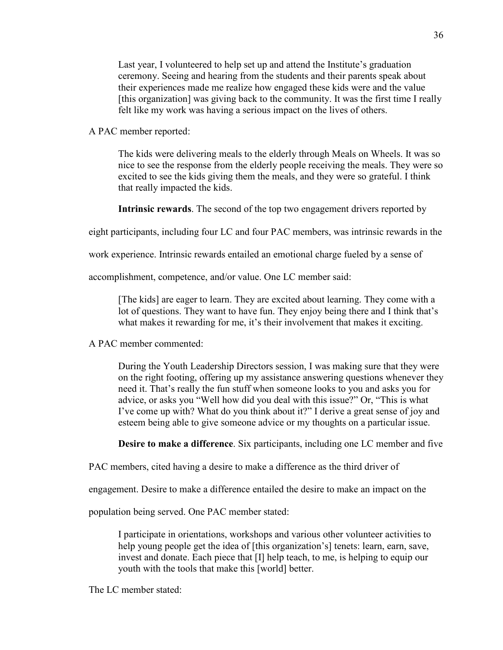Last year, I volunteered to help set up and attend the Institute's graduation ceremony. Seeing and hearing from the students and their parents speak about their experiences made me realize how engaged these kids were and the value [this organization] was giving back to the community. It was the first time I really felt like my work was having a serious impact on the lives of others.

A PAC member reported:

The kids were delivering meals to the elderly through Meals on Wheels. It was so nice to see the response from the elderly people receiving the meals. They were so excited to see the kids giving them the meals, and they were so grateful. I think that really impacted the kids.

**Intrinsic rewards**. The second of the top two engagement drivers reported by

eight participants, including four LC and four PAC members, was intrinsic rewards in the

work experience. Intrinsic rewards entailed an emotional charge fueled by a sense of

accomplishment, competence, and/or value. One LC member said:

[The kids] are eager to learn. They are excited about learning. They come with a lot of questions. They want to have fun. They enjoy being there and I think that's what makes it rewarding for me, it's their involvement that makes it exciting.

A PAC member commented:

During the Youth Leadership Directors session, I was making sure that they were on the right footing, offering up my assistance answering questions whenever they need it. That's really the fun stuff when someone looks to you and asks you for advice, or asks you "Well how did you deal with this issue?" Or, "This is what I've come up with? What do you think about it?" I derive a great sense of joy and esteem being able to give someone advice or my thoughts on a particular issue.

**Desire to make a difference**. Six participants, including one LC member and five

PAC members, cited having a desire to make a difference as the third driver of

engagement. Desire to make a difference entailed the desire to make an impact on the

population being served. One PAC member stated:

I participate in orientations, workshops and various other volunteer activities to help young people get the idea of [this organization's] tenets: learn, earn, save, invest and donate. Each piece that [I] help teach, to me, is helping to equip our youth with the tools that make this [world] better.

The LC member stated: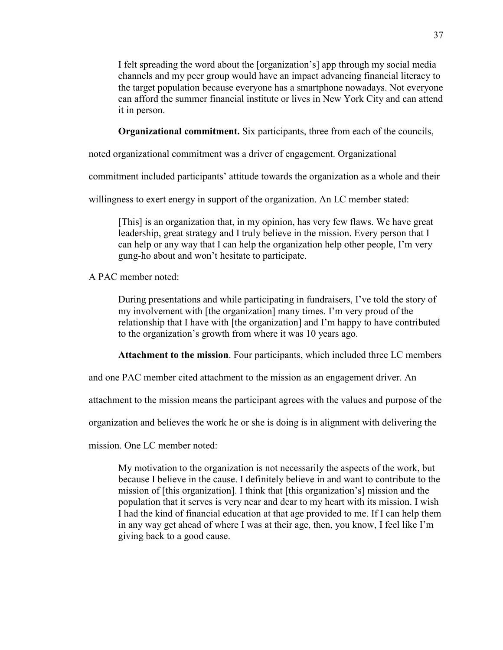I felt spreading the word about the [organization's] app through my social media channels and my peer group would have an impact advancing financial literacy to the target population because everyone has a smartphone nowadays. Not everyone can afford the summer financial institute or lives in New York City and can attend it in person.

**Organizational commitment.** Six participants, three from each of the councils,

noted organizational commitment was a driver of engagement. Organizational

commitment included participants' attitude towards the organization as a whole and their

willingness to exert energy in support of the organization. An LC member stated:

[This] is an organization that, in my opinion, has very few flaws. We have great leadership, great strategy and I truly believe in the mission. Every person that I can help or any way that I can help the organization help other people, I'm very gung-ho about and won't hesitate to participate.

A PAC member noted:

During presentations and while participating in fundraisers, I've told the story of my involvement with [the organization] many times. I'm very proud of the relationship that I have with [the organization] and I'm happy to have contributed to the organization's growth from where it was 10 years ago.

**Attachment to the mission**. Four participants, which included three LC members

and one PAC member cited attachment to the mission as an engagement driver. An

attachment to the mission means the participant agrees with the values and purpose of the

organization and believes the work he or she is doing is in alignment with delivering the

mission. One LC member noted:

My motivation to the organization is not necessarily the aspects of the work, but because I believe in the cause. I definitely believe in and want to contribute to the mission of [this organization]. I think that [this organization's] mission and the population that it serves is very near and dear to my heart with its mission. I wish I had the kind of financial education at that age provided to me. If I can help them in any way get ahead of where I was at their age, then, you know, I feel like I'm giving back to a good cause.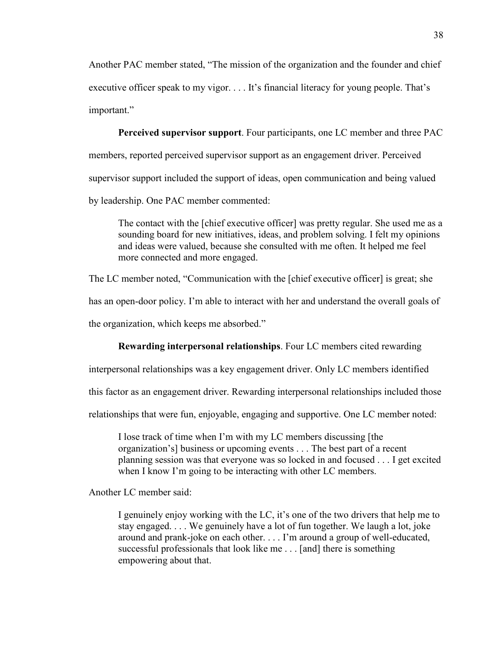Another PAC member stated, "The mission of the organization and the founder and chief executive officer speak to my vigor. . . . It's financial literacy for young people. That's important."

**Perceived supervisor support**. Four participants, one LC member and three PAC members, reported perceived supervisor support as an engagement driver. Perceived supervisor support included the support of ideas, open communication and being valued by leadership. One PAC member commented:

The contact with the [chief executive officer] was pretty regular. She used me as a sounding board for new initiatives, ideas, and problem solving. I felt my opinions and ideas were valued, because she consulted with me often. It helped me feel more connected and more engaged.

The LC member noted, "Communication with the [chief executive officer] is great; she

has an open-door policy. I'm able to interact with her and understand the overall goals of

the organization, which keeps me absorbed."

#### **Rewarding interpersonal relationships**. Four LC members cited rewarding

interpersonal relationships was a key engagement driver. Only LC members identified

this factor as an engagement driver. Rewarding interpersonal relationships included those

relationships that were fun, enjoyable, engaging and supportive. One LC member noted:

I lose track of time when I'm with my LC members discussing [the organization's] business or upcoming events . . . The best part of a recent planning session was that everyone was so locked in and focused . . . I get excited when I know I'm going to be interacting with other LC members.

Another LC member said:

I genuinely enjoy working with the LC, it's one of the two drivers that help me to stay engaged. . . . We genuinely have a lot of fun together. We laugh a lot, joke around and prank-joke on each other. . . . I'm around a group of well-educated, successful professionals that look like me . . . [and] there is something empowering about that.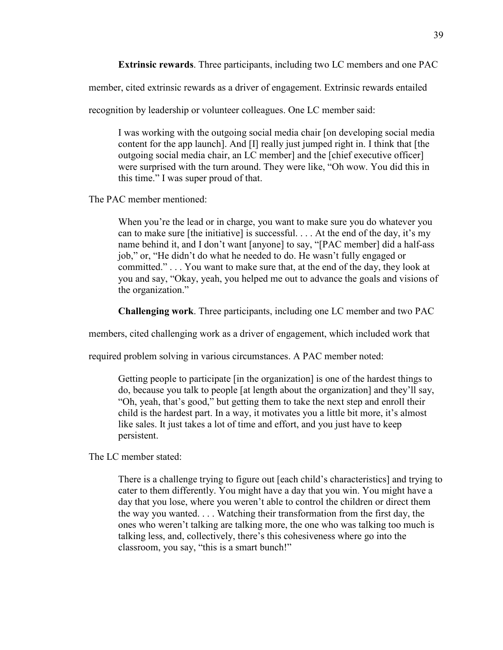**Extrinsic rewards**. Three participants, including two LC members and one PAC

member, cited extrinsic rewards as a driver of engagement. Extrinsic rewards entailed

recognition by leadership or volunteer colleagues. One LC member said:

I was working with the outgoing social media chair [on developing social media content for the app launch]. And [I] really just jumped right in. I think that [the outgoing social media chair, an LC member] and the [chief executive officer] were surprised with the turn around. They were like, "Oh wow. You did this in this time." I was super proud of that.

The PAC member mentioned:

When you're the lead or in charge, you want to make sure you do whatever you can to make sure [the initiative] is successful. . . . At the end of the day, it's my name behind it, and I don't want [anyone] to say, "[PAC member] did a half-ass job," or, "He didn't do what he needed to do. He wasn't fully engaged or committed." . . . You want to make sure that, at the end of the day, they look at you and say, "Okay, yeah, you helped me out to advance the goals and visions of the organization."

**Challenging work**. Three participants, including one LC member and two PAC

members, cited challenging work as a driver of engagement, which included work that

required problem solving in various circumstances. A PAC member noted:

Getting people to participate [in the organization] is one of the hardest things to do, because you talk to people [at length about the organization] and they'll say, "Oh, yeah, that's good," but getting them to take the next step and enroll their child is the hardest part. In a way, it motivates you a little bit more, it's almost like sales. It just takes a lot of time and effort, and you just have to keep persistent.

The LC member stated:

There is a challenge trying to figure out [each child's characteristics] and trying to cater to them differently. You might have a day that you win. You might have a day that you lose, where you weren't able to control the children or direct them the way you wanted. . . . Watching their transformation from the first day, the ones who weren't talking are talking more, the one who was talking too much is talking less, and, collectively, there's this cohesiveness where go into the classroom, you say, "this is a smart bunch!"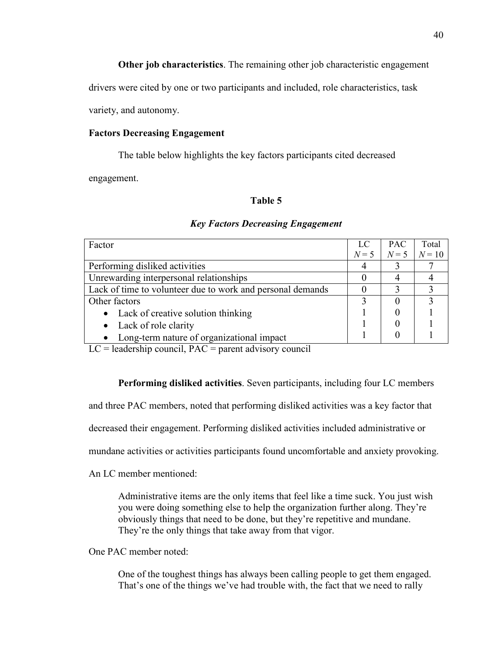**Other job characteristics**. The remaining other job characteristic engagement

drivers were cited by one or two participants and included, role characteristics, task

variety, and autonomy.

## **Factors Decreasing Engagement**

The table below highlights the key factors participants cited decreased

engagement.

## **Table 5**

| Factor                                                     | LC    | <b>PAC</b> | Total  |
|------------------------------------------------------------|-------|------------|--------|
|                                                            | $N=5$ | $N=5$      | $N=10$ |
| Performing disliked activities                             |       |            |        |
| Unrewarding interpersonal relationships                    |       |            |        |
| Lack of time to volunteer due to work and personal demands |       |            |        |
| Other factors                                              |       |            |        |
| • Lack of creative solution thinking                       |       |            |        |
| • Lack of role clarity                                     |       |            |        |
| Long-term nature of organizational impact                  |       |            |        |

## *Key Factors Decreasing Engagement*

 $LC =$  leadership council,  $PAC =$  parent advisory council

**Performing disliked activities**. Seven participants, including four LC members

and three PAC members, noted that performing disliked activities was a key factor that

decreased their engagement. Performing disliked activities included administrative or

mundane activities or activities participants found uncomfortable and anxiety provoking.

An LC member mentioned:

Administrative items are the only items that feel like a time suck. You just wish you were doing something else to help the organization further along. They're obviously things that need to be done, but they're repetitive and mundane. They're the only things that take away from that vigor.

One PAC member noted:

One of the toughest things has always been calling people to get them engaged. That's one of the things we've had trouble with, the fact that we need to rally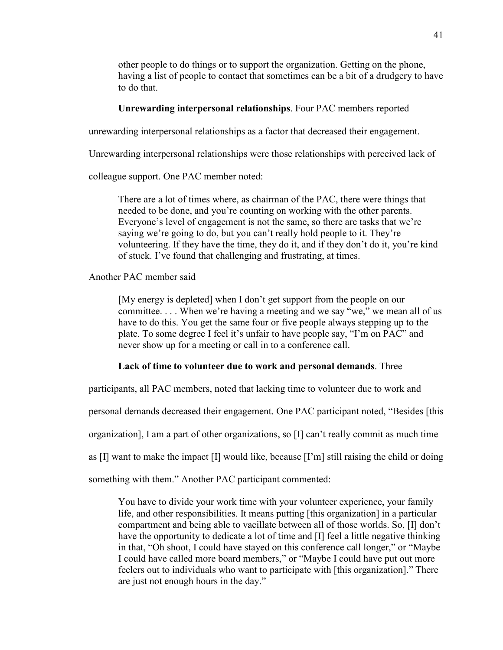other people to do things or to support the organization. Getting on the phone, having a list of people to contact that sometimes can be a bit of a drudgery to have to do that.

# **Unrewarding interpersonal relationships**. Four PAC members reported

unrewarding interpersonal relationships as a factor that decreased their engagement.

Unrewarding interpersonal relationships were those relationships with perceived lack of

colleague support. One PAC member noted:

There are a lot of times where, as chairman of the PAC, there were things that needed to be done, and you're counting on working with the other parents. Everyone's level of engagement is not the same, so there are tasks that we're saying we're going to do, but you can't really hold people to it. They're volunteering. If they have the time, they do it, and if they don't do it, you're kind of stuck. I've found that challenging and frustrating, at times.

Another PAC member said

[My energy is depleted] when I don't get support from the people on our committee. . . . When we're having a meeting and we say "we," we mean all of us have to do this. You get the same four or five people always stepping up to the plate. To some degree I feel it's unfair to have people say, "I'm on PAC" and never show up for a meeting or call in to a conference call.

## **Lack of time to volunteer due to work and personal demands**. Three

participants, all PAC members, noted that lacking time to volunteer due to work and

personal demands decreased their engagement. One PAC participant noted, "Besides [this

organization], I am a part of other organizations, so [I] can't really commit as much time

as [I] want to make the impact [I] would like, because [I'm] still raising the child or doing

something with them." Another PAC participant commented:

You have to divide your work time with your volunteer experience, your family life, and other responsibilities. It means putting [this organization] in a particular compartment and being able to vacillate between all of those worlds. So, [I] don't have the opportunity to dedicate a lot of time and [I] feel a little negative thinking in that, "Oh shoot, I could have stayed on this conference call longer," or "Maybe I could have called more board members," or "Maybe I could have put out more feelers out to individuals who want to participate with [this organization]." There are just not enough hours in the day."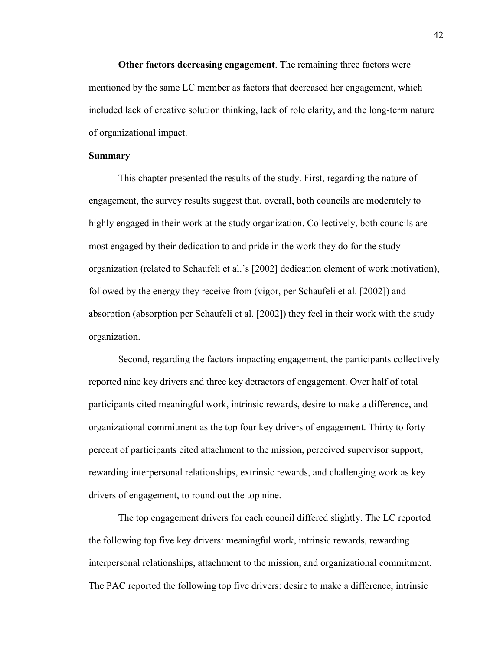**Other factors decreasing engagement**. The remaining three factors were mentioned by the same LC member as factors that decreased her engagement, which included lack of creative solution thinking, lack of role clarity, and the long-term nature of organizational impact.

## **Summary**

This chapter presented the results of the study. First, regarding the nature of engagement, the survey results suggest that, overall, both councils are moderately to highly engaged in their work at the study organization. Collectively, both councils are most engaged by their dedication to and pride in the work they do for the study organization (related to Schaufeli et al.'s [2002] dedication element of work motivation), followed by the energy they receive from (vigor, per Schaufeli et al. [2002]) and absorption (absorption per Schaufeli et al. [2002]) they feel in their work with the study organization.

Second, regarding the factors impacting engagement, the participants collectively reported nine key drivers and three key detractors of engagement. Over half of total participants cited meaningful work, intrinsic rewards, desire to make a difference, and organizational commitment as the top four key drivers of engagement. Thirty to forty percent of participants cited attachment to the mission, perceived supervisor support, rewarding interpersonal relationships, extrinsic rewards, and challenging work as key drivers of engagement, to round out the top nine.

The top engagement drivers for each council differed slightly. The LC reported the following top five key drivers: meaningful work, intrinsic rewards, rewarding interpersonal relationships, attachment to the mission, and organizational commitment. The PAC reported the following top five drivers: desire to make a difference, intrinsic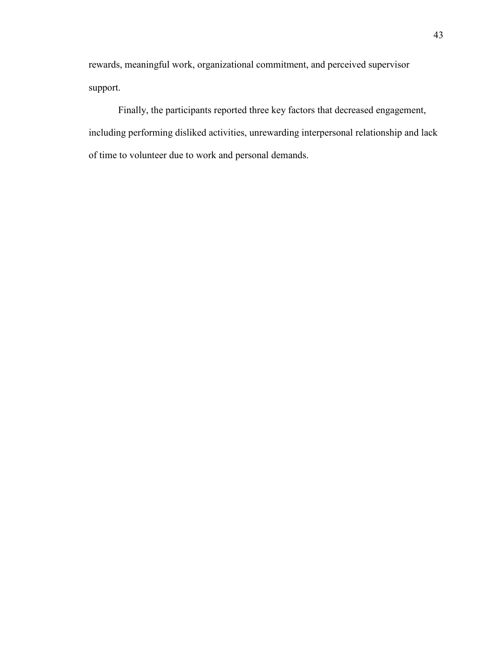rewards, meaningful work, organizational commitment, and perceived supervisor support.

Finally, the participants reported three key factors that decreased engagement, including performing disliked activities, unrewarding interpersonal relationship and lack of time to volunteer due to work and personal demands.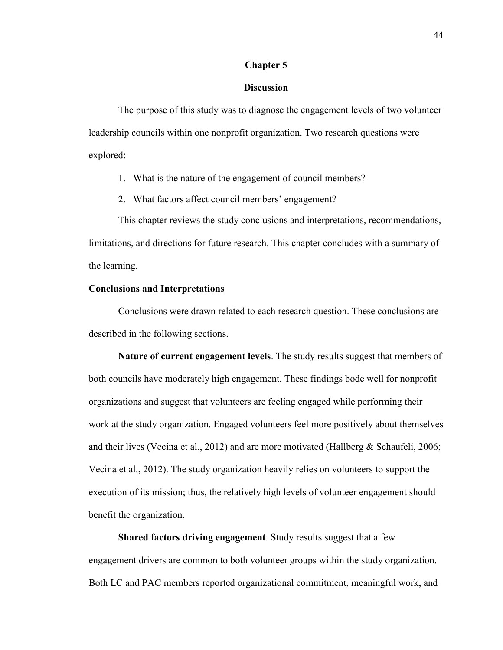#### **Chapter 5**

## **Discussion**

The purpose of this study was to diagnose the engagement levels of two volunteer leadership councils within one nonprofit organization. Two research questions were explored:

1. What is the nature of the engagement of council members?

2. What factors affect council members' engagement?

This chapter reviews the study conclusions and interpretations, recommendations, limitations, and directions for future research. This chapter concludes with a summary of the learning.

## **Conclusions and Interpretations**

Conclusions were drawn related to each research question. These conclusions are described in the following sections.

**Nature of current engagement levels**. The study results suggest that members of both councils have moderately high engagement. These findings bode well for nonprofit organizations and suggest that volunteers are feeling engaged while performing their work at the study organization. Engaged volunteers feel more positively about themselves and their lives (Vecina et al., 2012) and are more motivated (Hallberg & Schaufeli, 2006; Vecina et al., 2012). The study organization heavily relies on volunteers to support the execution of its mission; thus, the relatively high levels of volunteer engagement should benefit the organization.

**Shared factors driving engagement**. Study results suggest that a few engagement drivers are common to both volunteer groups within the study organization. Both LC and PAC members reported organizational commitment, meaningful work, and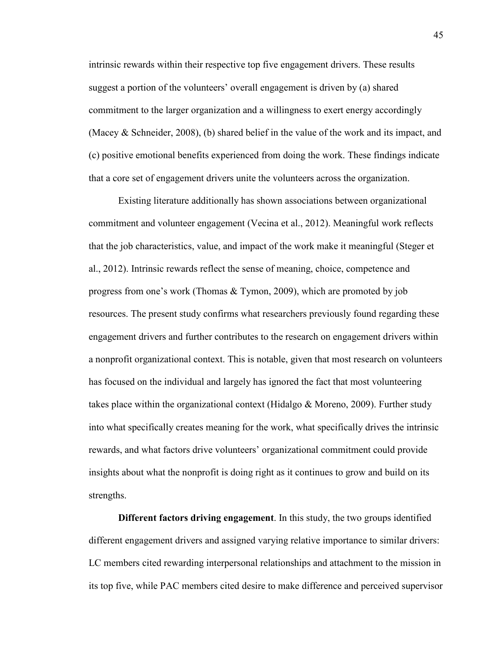intrinsic rewards within their respective top five engagement drivers. These results suggest a portion of the volunteers' overall engagement is driven by (a) shared commitment to the larger organization and a willingness to exert energy accordingly (Macey & Schneider, 2008), (b) shared belief in the value of the work and its impact, and (c) positive emotional benefits experienced from doing the work. These findings indicate that a core set of engagement drivers unite the volunteers across the organization.

Existing literature additionally has shown associations between organizational commitment and volunteer engagement (Vecina et al., 2012). Meaningful work reflects that the job characteristics, value, and impact of the work make it meaningful (Steger et al., 2012). Intrinsic rewards reflect the sense of meaning, choice, competence and progress from one's work (Thomas & Tymon, 2009), which are promoted by job resources. The present study confirms what researchers previously found regarding these engagement drivers and further contributes to the research on engagement drivers within a nonprofit organizational context. This is notable, given that most research on volunteers has focused on the individual and largely has ignored the fact that most volunteering takes place within the organizational context (Hidalgo & Moreno, 2009). Further study into what specifically creates meaning for the work, what specifically drives the intrinsic rewards, and what factors drive volunteers' organizational commitment could provide insights about what the nonprofit is doing right as it continues to grow and build on its strengths.

**Different factors driving engagement**. In this study, the two groups identified different engagement drivers and assigned varying relative importance to similar drivers: LC members cited rewarding interpersonal relationships and attachment to the mission in its top five, while PAC members cited desire to make difference and perceived supervisor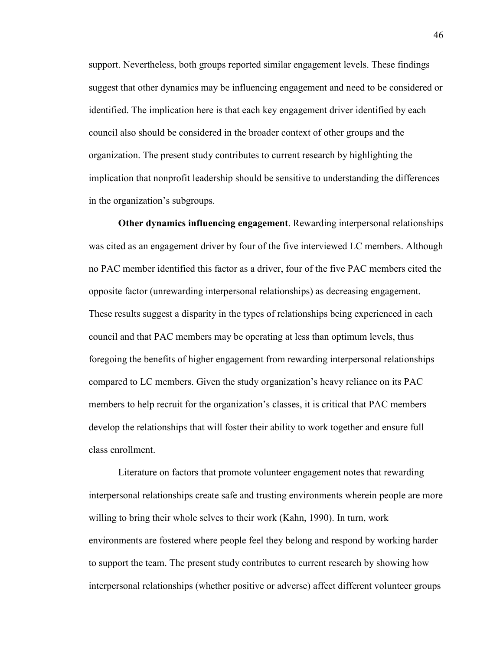support. Nevertheless, both groups reported similar engagement levels. These findings suggest that other dynamics may be influencing engagement and need to be considered or identified. The implication here is that each key engagement driver identified by each council also should be considered in the broader context of other groups and the organization. The present study contributes to current research by highlighting the implication that nonprofit leadership should be sensitive to understanding the differences in the organization's subgroups.

**Other dynamics influencing engagement**. Rewarding interpersonal relationships was cited as an engagement driver by four of the five interviewed LC members. Although no PAC member identified this factor as a driver, four of the five PAC members cited the opposite factor (unrewarding interpersonal relationships) as decreasing engagement. These results suggest a disparity in the types of relationships being experienced in each council and that PAC members may be operating at less than optimum levels, thus foregoing the benefits of higher engagement from rewarding interpersonal relationships compared to LC members. Given the study organization's heavy reliance on its PAC members to help recruit for the organization's classes, it is critical that PAC members develop the relationships that will foster their ability to work together and ensure full class enrollment.

Literature on factors that promote volunteer engagement notes that rewarding interpersonal relationships create safe and trusting environments wherein people are more willing to bring their whole selves to their work (Kahn, 1990). In turn, work environments are fostered where people feel they belong and respond by working harder to support the team. The present study contributes to current research by showing how interpersonal relationships (whether positive or adverse) affect different volunteer groups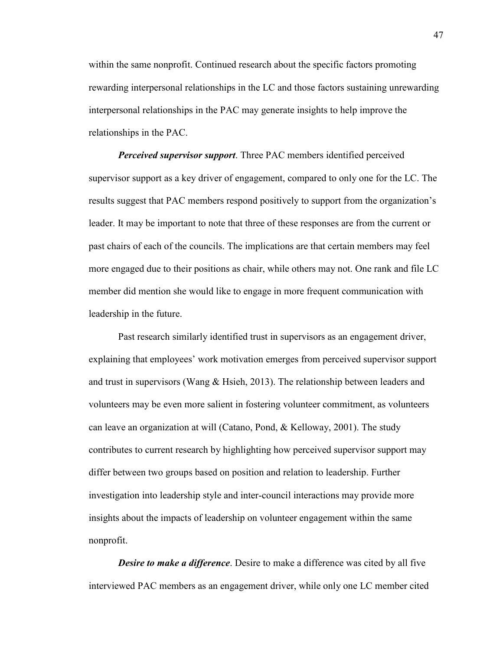within the same nonprofit. Continued research about the specific factors promoting rewarding interpersonal relationships in the LC and those factors sustaining unrewarding interpersonal relationships in the PAC may generate insights to help improve the relationships in the PAC.

*Perceived supervisor support*. Three PAC members identified perceived supervisor support as a key driver of engagement, compared to only one for the LC. The results suggest that PAC members respond positively to support from the organization's leader. It may be important to note that three of these responses are from the current or past chairs of each of the councils. The implications are that certain members may feel more engaged due to their positions as chair, while others may not. One rank and file LC member did mention she would like to engage in more frequent communication with leadership in the future.

Past research similarly identified trust in supervisors as an engagement driver, explaining that employees' work motivation emerges from perceived supervisor support and trust in supervisors (Wang & Hsieh, 2013). The relationship between leaders and volunteers may be even more salient in fostering volunteer commitment, as volunteers can leave an organization at will (Catano, Pond, & Kelloway, 2001). The study contributes to current research by highlighting how perceived supervisor support may differ between two groups based on position and relation to leadership. Further investigation into leadership style and inter-council interactions may provide more insights about the impacts of leadership on volunteer engagement within the same nonprofit.

*Desire to make a difference*. Desire to make a difference was cited by all five interviewed PAC members as an engagement driver, while only one LC member cited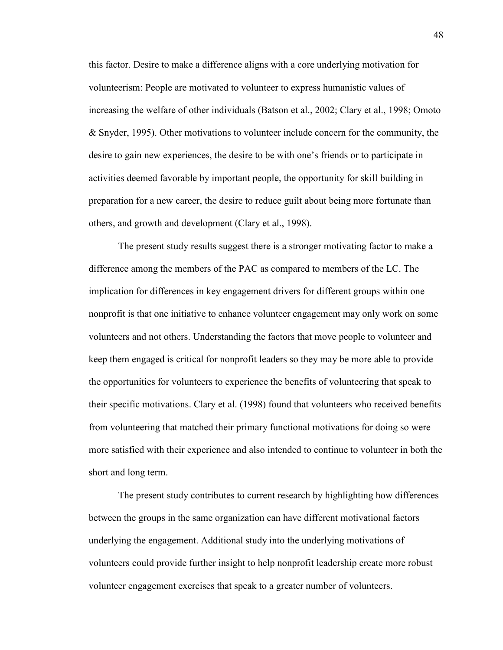this factor. Desire to make a difference aligns with a core underlying motivation for volunteerism: People are motivated to volunteer to express humanistic values of increasing the welfare of other individuals (Batson et al., 2002; Clary et al., 1998; Omoto & Snyder, 1995). Other motivations to volunteer include concern for the community, the desire to gain new experiences, the desire to be with one's friends or to participate in activities deemed favorable by important people, the opportunity for skill building in preparation for a new career, the desire to reduce guilt about being more fortunate than others, and growth and development (Clary et al., 1998).

The present study results suggest there is a stronger motivating factor to make a difference among the members of the PAC as compared to members of the LC. The implication for differences in key engagement drivers for different groups within one nonprofit is that one initiative to enhance volunteer engagement may only work on some volunteers and not others. Understanding the factors that move people to volunteer and keep them engaged is critical for nonprofit leaders so they may be more able to provide the opportunities for volunteers to experience the benefits of volunteering that speak to their specific motivations. Clary et al. (1998) found that volunteers who received benefits from volunteering that matched their primary functional motivations for doing so were more satisfied with their experience and also intended to continue to volunteer in both the short and long term.

The present study contributes to current research by highlighting how differences between the groups in the same organization can have different motivational factors underlying the engagement. Additional study into the underlying motivations of volunteers could provide further insight to help nonprofit leadership create more robust volunteer engagement exercises that speak to a greater number of volunteers.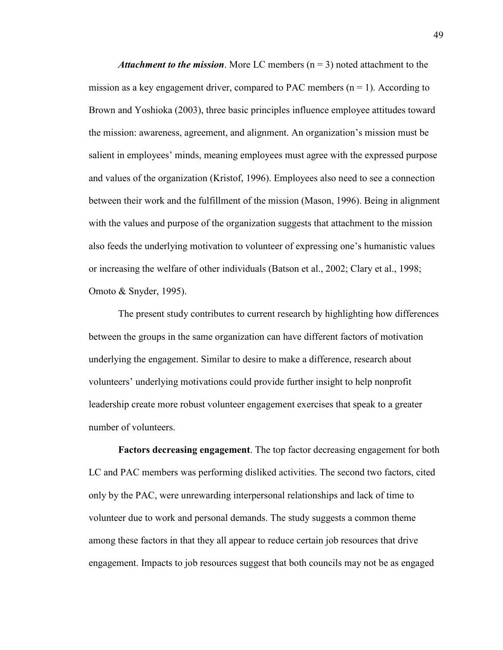*Attachment to the mission.* More LC members  $(n = 3)$  noted attachment to the mission as a key engagement driver, compared to PAC members  $(n = 1)$ . According to Brown and Yoshioka (2003), three basic principles influence employee attitudes toward the mission: awareness, agreement, and alignment. An organization's mission must be salient in employees' minds, meaning employees must agree with the expressed purpose and values of the organization (Kristof, 1996). Employees also need to see a connection between their work and the fulfillment of the mission (Mason, 1996). Being in alignment with the values and purpose of the organization suggests that attachment to the mission also feeds the underlying motivation to volunteer of expressing one's humanistic values or increasing the welfare of other individuals (Batson et al., 2002; Clary et al., 1998; Omoto & Snyder, 1995).

The present study contributes to current research by highlighting how differences between the groups in the same organization can have different factors of motivation underlying the engagement. Similar to desire to make a difference, research about volunteers' underlying motivations could provide further insight to help nonprofit leadership create more robust volunteer engagement exercises that speak to a greater number of volunteers.

**Factors decreasing engagement**. The top factor decreasing engagement for both LC and PAC members was performing disliked activities. The second two factors, cited only by the PAC, were unrewarding interpersonal relationships and lack of time to volunteer due to work and personal demands. The study suggests a common theme among these factors in that they all appear to reduce certain job resources that drive engagement. Impacts to job resources suggest that both councils may not be as engaged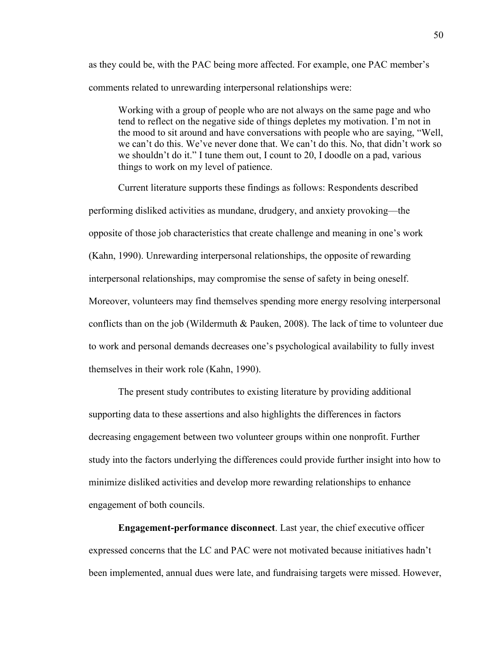as they could be, with the PAC being more affected. For example, one PAC member's comments related to unrewarding interpersonal relationships were:

Working with a group of people who are not always on the same page and who tend to reflect on the negative side of things depletes my motivation. I'm not in the mood to sit around and have conversations with people who are saying, "Well, we can't do this. We've never done that. We can't do this. No, that didn't work so we shouldn't do it." I tune them out, I count to 20, I doodle on a pad, various things to work on my level of patience.

Current literature supports these findings as follows: Respondents described performing disliked activities as mundane, drudgery, and anxiety provoking—the opposite of those job characteristics that create challenge and meaning in one's work (Kahn, 1990). Unrewarding interpersonal relationships, the opposite of rewarding interpersonal relationships, may compromise the sense of safety in being oneself. Moreover, volunteers may find themselves spending more energy resolving interpersonal conflicts than on the job (Wildermuth  $&$  Pauken, 2008). The lack of time to volunteer due to work and personal demands decreases one's psychological availability to fully invest themselves in their work role (Kahn, 1990).

The present study contributes to existing literature by providing additional supporting data to these assertions and also highlights the differences in factors decreasing engagement between two volunteer groups within one nonprofit. Further study into the factors underlying the differences could provide further insight into how to minimize disliked activities and develop more rewarding relationships to enhance engagement of both councils.

**Engagement-performance disconnect**. Last year, the chief executive officer expressed concerns that the LC and PAC were not motivated because initiatives hadn't been implemented, annual dues were late, and fundraising targets were missed. However,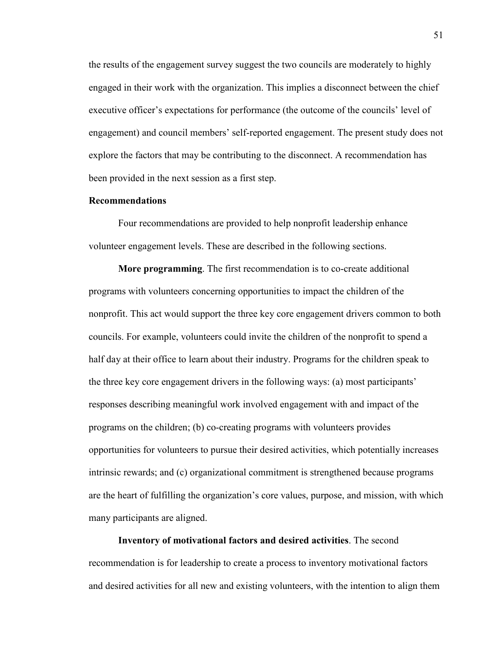the results of the engagement survey suggest the two councils are moderately to highly engaged in their work with the organization. This implies a disconnect between the chief executive officer's expectations for performance (the outcome of the councils' level of engagement) and council members' self-reported engagement. The present study does not explore the factors that may be contributing to the disconnect. A recommendation has been provided in the next session as a first step.

### **Recommendations**

Four recommendations are provided to help nonprofit leadership enhance volunteer engagement levels. These are described in the following sections.

**More programming**. The first recommendation is to co-create additional programs with volunteers concerning opportunities to impact the children of the nonprofit. This act would support the three key core engagement drivers common to both councils. For example, volunteers could invite the children of the nonprofit to spend a half day at their office to learn about their industry. Programs for the children speak to the three key core engagement drivers in the following ways: (a) most participants' responses describing meaningful work involved engagement with and impact of the programs on the children; (b) co-creating programs with volunteers provides opportunities for volunteers to pursue their desired activities, which potentially increases intrinsic rewards; and (c) organizational commitment is strengthened because programs are the heart of fulfilling the organization's core values, purpose, and mission, with which many participants are aligned.

**Inventory of motivational factors and desired activities**. The second recommendation is for leadership to create a process to inventory motivational factors and desired activities for all new and existing volunteers, with the intention to align them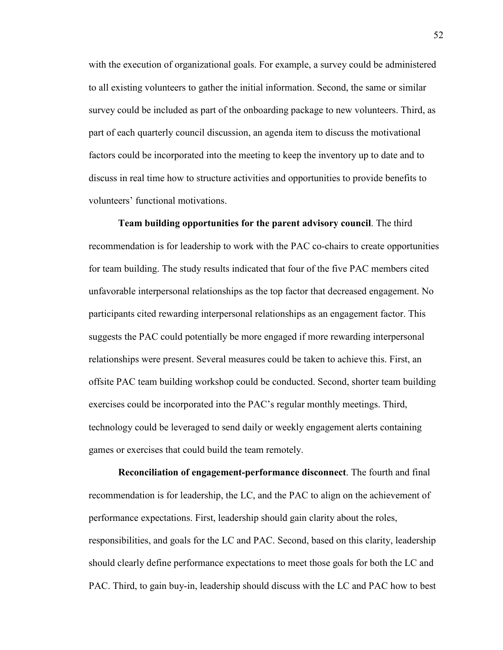with the execution of organizational goals. For example, a survey could be administered to all existing volunteers to gather the initial information. Second, the same or similar survey could be included as part of the onboarding package to new volunteers. Third, as part of each quarterly council discussion, an agenda item to discuss the motivational factors could be incorporated into the meeting to keep the inventory up to date and to discuss in real time how to structure activities and opportunities to provide benefits to volunteers' functional motivations.

**Team building opportunities for the parent advisory council**. The third recommendation is for leadership to work with the PAC co-chairs to create opportunities for team building. The study results indicated that four of the five PAC members cited unfavorable interpersonal relationships as the top factor that decreased engagement. No participants cited rewarding interpersonal relationships as an engagement factor. This suggests the PAC could potentially be more engaged if more rewarding interpersonal relationships were present. Several measures could be taken to achieve this. First, an offsite PAC team building workshop could be conducted. Second, shorter team building exercises could be incorporated into the PAC's regular monthly meetings. Third, technology could be leveraged to send daily or weekly engagement alerts containing games or exercises that could build the team remotely.

**Reconciliation of engagement-performance disconnect**. The fourth and final recommendation is for leadership, the LC, and the PAC to align on the achievement of performance expectations. First, leadership should gain clarity about the roles, responsibilities, and goals for the LC and PAC. Second, based on this clarity, leadership should clearly define performance expectations to meet those goals for both the LC and PAC. Third, to gain buy-in, leadership should discuss with the LC and PAC how to best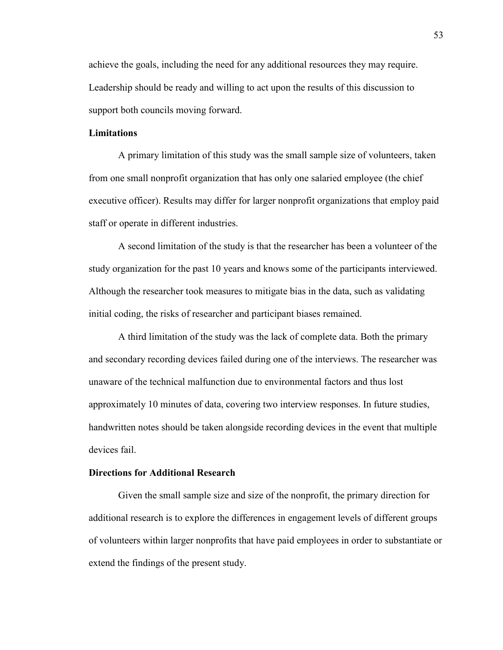achieve the goals, including the need for any additional resources they may require. Leadership should be ready and willing to act upon the results of this discussion to support both councils moving forward.

## **Limitations**

A primary limitation of this study was the small sample size of volunteers, taken from one small nonprofit organization that has only one salaried employee (the chief executive officer). Results may differ for larger nonprofit organizations that employ paid staff or operate in different industries.

A second limitation of the study is that the researcher has been a volunteer of the study organization for the past 10 years and knows some of the participants interviewed. Although the researcher took measures to mitigate bias in the data, such as validating initial coding, the risks of researcher and participant biases remained.

A third limitation of the study was the lack of complete data. Both the primary and secondary recording devices failed during one of the interviews. The researcher was unaware of the technical malfunction due to environmental factors and thus lost approximately 10 minutes of data, covering two interview responses. In future studies, handwritten notes should be taken alongside recording devices in the event that multiple devices fail.

## **Directions for Additional Research**

Given the small sample size and size of the nonprofit, the primary direction for additional research is to explore the differences in engagement levels of different groups of volunteers within larger nonprofits that have paid employees in order to substantiate or extend the findings of the present study.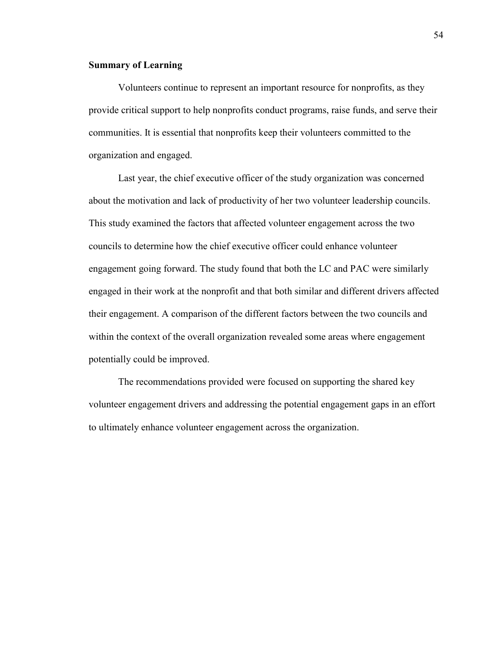## **Summary of Learning**

Volunteers continue to represent an important resource for nonprofits, as they provide critical support to help nonprofits conduct programs, raise funds, and serve their communities. It is essential that nonprofits keep their volunteers committed to the organization and engaged.

Last year, the chief executive officer of the study organization was concerned about the motivation and lack of productivity of her two volunteer leadership councils. This study examined the factors that affected volunteer engagement across the two councils to determine how the chief executive officer could enhance volunteer engagement going forward. The study found that both the LC and PAC were similarly engaged in their work at the nonprofit and that both similar and different drivers affected their engagement. A comparison of the different factors between the two councils and within the context of the overall organization revealed some areas where engagement potentially could be improved.

The recommendations provided were focused on supporting the shared key volunteer engagement drivers and addressing the potential engagement gaps in an effort to ultimately enhance volunteer engagement across the organization.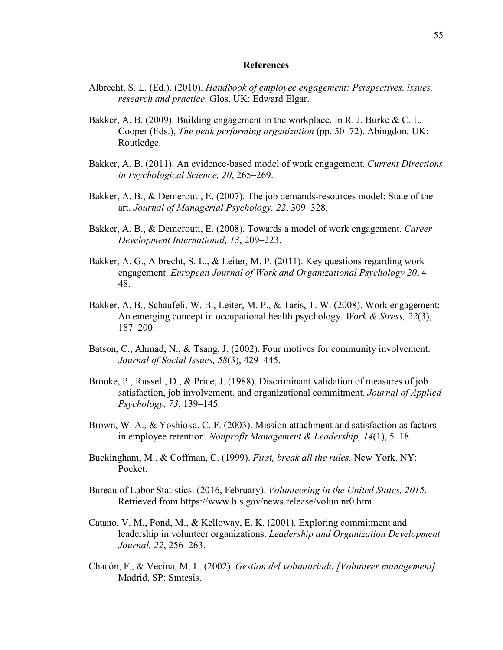#### **References**

- Albrecht, S. L. (Ed.). (2010). *Handbook of employee engagement: Perspectives, issues, research and practice*. Glos, UK: Edward Elgar.
- Bakker, A. B. (2009). Building engagement in the workplace. In R. J. Burke & C. L. Cooper (Eds.), *The peak performing organization* (pp. 50–72). Abingdon, UK: Routledge.
- Bakker, A. B. (2011). An evidence-based model of work engagement. *Current Directions in Psychological Science, 20*, 265–269.
- Bakker, A. B., & Demerouti, E. (2007). The job demands-resources model: State of the art. *Journal of Managerial Psychology, 22*, 309–328.
- Bakker, A. B., & Demerouti, E. (2008). Towards a model of work engagement. *Career Development International, 13*, 209–223.
- Bakker, A. G., Albrecht, S. L., & Leiter, M. P. (2011). Key questions regarding work engagement. *European Journal of Work and Organizational Psychology 20*, 4– 48.
- Bakker, A. B., Schaufeli, W. B., Leiter, M. P., & Taris, T. W. (2008). Work engagement: An emerging concept in occupational health psychology. *Work & Stress, 22*(3), 187–200.
- Batson, C., Ahmad, N., & Tsang, J. (2002). Four motives for community involvement. *Journal of Social Issues, 58*(3), 429–445.
- Brooke, P., Russell, D., & Price, J. (1988). Discriminant validation of measures of job satisfaction, job involvement, and organizational commitment. *Journal of Applied Psychology, 73*, 139–145.
- Brown, W. A., & Yoshioka, C. F. (2003). Mission attachment and satisfaction as factors in employee retention. *Nonprofit Management & Leadership, 14*(1), 5–18
- Buckingham, M., & Coffman, C. (1999). *First, break all the rules.* New York, NY: Pocket.
- Bureau of Labor Statistics. (2016, February). *Volunteering in the United States, 2015*. Retrieved from https://www.bls.gov/news.release/volun.nr0.htm
- Catano, V. M., Pond, M., & Kelloway, E. K. (2001). Exploring commitment and leadership in volunteer organizations. *Leadership and Organization Development Journal, 22*, 256–263.
- Chacón, F., & Vecina, M. L. (2002). *Gestion del voluntariado [Volunteer management]*. Madrid, SP: Sıntesis.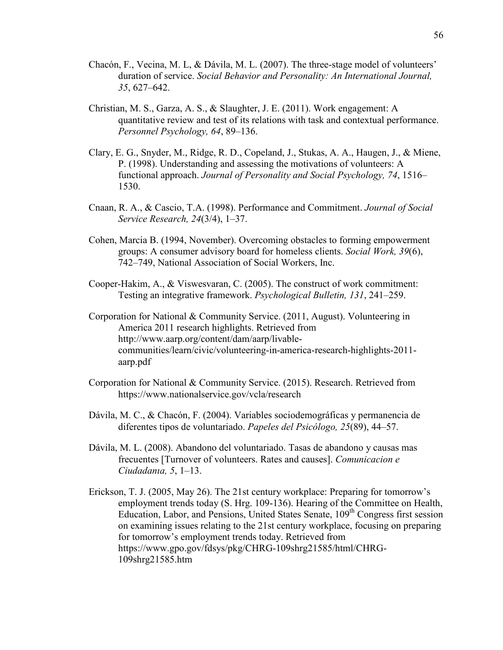- Chacón, F., Vecina, M. L, & Dávila, M. L. (2007). The three-stage model of volunteers' duration of service. *Social Behavior and Personality: An International Journal, 35*, 627–642.
- Christian, M. S., Garza, A. S., & Slaughter, J. E. (2011). Work engagement: A quantitative review and test of its relations with task and contextual performance. *Personnel Psychology, 64*, 89–136.
- Clary, E. G., Snyder, M., Ridge, R. D., Copeland, J., Stukas, A. A., Haugen, J., & Miene, P. (1998). Understanding and assessing the motivations of volunteers: A functional approach. *Journal of Personality and Social Psychology, 74*, 1516– 1530.
- Cnaan, R. A., & Cascio, T.A. (1998). Performance and Commitment. *Journal of Social Service Research, 24*(3/4), 1–37.
- Cohen, Marcia B. (1994, November). Overcoming obstacles to forming empowerment groups: A consumer advisory board for homeless clients. *Social Work, 39*(6), 742–749, National Association of Social Workers, Inc.
- Cooper-Hakim, A., & Viswesvaran, C. (2005). The construct of work commitment: Testing an integrative framework. *Psychological Bulletin, 131*, 241–259.
- Corporation for National & Community Service. (2011, August). Volunteering in America 2011 research highlights. Retrieved from http://www.aarp.org/content/dam/aarp/livablecommunities/learn/civic/volunteering-in-america-research-highlights-2011 aarp.pdf
- Corporation for National & Community Service. (2015). Research. Retrieved from https://www.nationalservice.gov/vcla/research
- Dávila, M. C., & Chacón, F. (2004). Variables sociodemográficas y permanencia de diferentes tipos de voluntariado. *Papeles del Psicólogo, 25*(89), 44–57.
- Dávila, M. L. (2008). Abandono del voluntariado. Tasas de abandono y causas mas frecuentes [Turnover of volunteers. Rates and causes]. *Comunicacion e Ciudadanıa, 5*, 1–13.
- Erickson, T. J. (2005, May 26). The 21st century workplace: Preparing for tomorrow's employment trends today (S. Hrg. 109-136). Hearing of the Committee on Health, Education, Labor, and Pensions, United States Senate,  $109<sup>th</sup>$  Congress first session on examining issues relating to the 21st century workplace, focusing on preparing for tomorrow's employment trends today. Retrieved from https://www.gpo.gov/fdsys/pkg/CHRG-109shrg21585/html/CHRG-109shrg21585.htm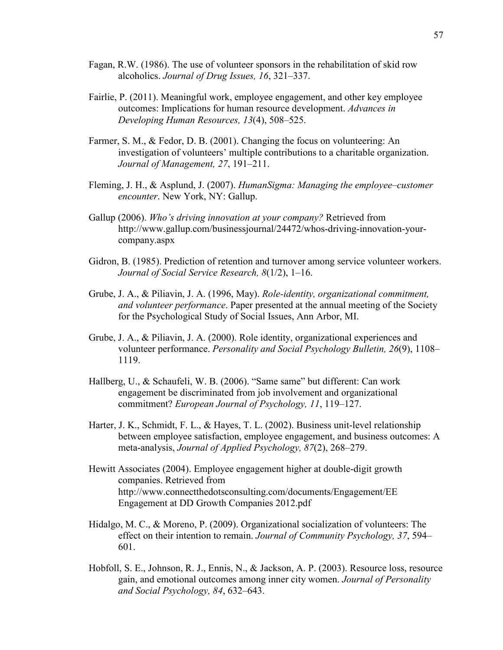- Fagan, R.W. (1986). The use of volunteer sponsors in the rehabilitation of skid row alcoholics. *Journal of Drug Issues, 16*, 321–337.
- Fairlie, P. (2011). Meaningful work, employee engagement, and other key employee outcomes: Implications for human resource development. *Advances in Developing Human Resources, 13*(4), 508–525.
- Farmer, S. M., & Fedor, D. B. (2001). Changing the focus on volunteering: An investigation of volunteers' multiple contributions to a charitable organization. *Journal of Management, 27*, 191–211.
- Fleming, J. H., & Asplund, J. (2007). *HumanSigma: Managing the employee–customer encounter*. New York, NY: Gallup.
- Gallup (2006). *Who's driving innovation at your company?* Retrieved from http://www.gallup.com/businessjournal/24472/whos-driving-innovation-yourcompany.aspx
- Gidron, B. (1985). Prediction of retention and turnover among service volunteer workers. *Journal of Social Service Research, 8*(1/2), 1–16.
- Grube, J. A., & Piliavin, J. A. (1996, May). *Role-identity, organizational commitment, and volunteer performance*. Paper presented at the annual meeting of the Society for the Psychological Study of Social Issues, Ann Arbor, MI.
- Grube, J. A., & Piliavin, J. A. (2000). Role identity, organizational experiences and volunteer performance. *Personality and Social Psychology Bulletin, 26*(9), 1108– 1119.
- Hallberg, U., & Schaufeli, W. B. (2006). "Same same" but different: Can work engagement be discriminated from job involvement and organizational commitment? *European Journal of Psychology, 11*, 119–127.
- Harter, J. K., Schmidt, F. L., & Hayes, T. L. (2002). Business unit-level relationship between employee satisfaction, employee engagement, and business outcomes: A meta-analysis, *Journal of Applied Psychology, 87*(2), 268–279.
- Hewitt Associates (2004). Employee engagement higher at double-digit growth companies. Retrieved from http://www.connectthedotsconsulting.com/documents/Engagement/EE Engagement at DD Growth Companies 2012.pdf
- Hidalgo, M. C., & Moreno, P. (2009). Organizational socialization of volunteers: The effect on their intention to remain. *Journal of Community Psychology, 37*, 594– 601.
- Hobfoll, S. E., Johnson, R. J., Ennis, N., & Jackson, A. P. (2003). Resource loss, resource gain, and emotional outcomes among inner city women. *Journal of Personality and Social Psychology, 84*, 632–643.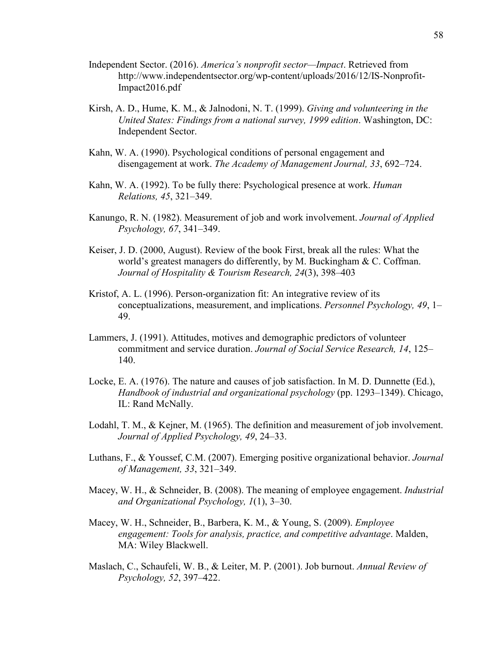- Independent Sector. (2016). *America's nonprofit sector—Impact*. Retrieved from http://www.independentsector.org/wp-content/uploads/2016/12/IS-Nonprofit-Impact2016.pdf
- Kirsh, A. D., Hume, K. M., & Jalnodoni, N. T. (1999). *Giving and volunteering in the United States: Findings from a national survey, 1999 edition*. Washington, DC: Independent Sector.
- Kahn, W. A. (1990). Psychological conditions of personal engagement and disengagement at work. *The Academy of Management Journal, 33*, 692–724.
- Kahn, W. A. (1992). To be fully there: Psychological presence at work. *Human Relations, 45*, 321–349.
- Kanungo, R. N. (1982). Measurement of job and work involvement. *Journal of Applied Psychology, 67*, 341–349.
- Keiser, J. D. (2000, August). Review of the book First, break all the rules: What the world's greatest managers do differently, by M. Buckingham & C. Coffman. *Journal of Hospitality & Tourism Research, 24*(3), 398–403
- Kristof, A. L. (1996). Person-organization fit: An integrative review of its conceptualizations, measurement, and implications. *Personnel Psychology, 49*, 1– 49.
- Lammers, J. (1991). Attitudes, motives and demographic predictors of volunteer commitment and service duration. *Journal of Social Service Research, 14*, 125– 140.
- Locke, E. A. (1976). The nature and causes of job satisfaction. In M. D. Dunnette (Ed.), *Handbook of industrial and organizational psychology* (pp. 1293–1349). Chicago, IL: Rand McNally.
- Lodahl, T. M., & Kejner, M. (1965). The definition and measurement of job involvement. *Journal of Applied Psychology, 49*, 24–33.
- Luthans, F., & Youssef, C.M. (2007). Emerging positive organizational behavior. *Journal of Management, 33*, 321–349.
- Macey, W. H., & Schneider, B. (2008). The meaning of employee engagement. *Industrial and Organizational Psychology, 1*(1), 3–30.
- Macey, W. H., Schneider, B., Barbera, K. M., & Young, S. (2009). *Employee engagement: Tools for analysis, practice, and competitive advantage*. Malden, MA: Wiley Blackwell.
- Maslach, C., Schaufeli, W. B., & Leiter, M. P. (2001). Job burnout. *Annual Review of Psychology, 52*, 397–422.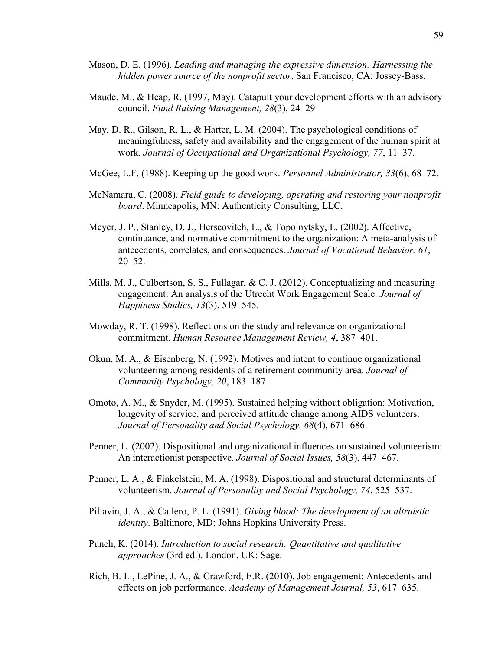- Mason, D. E. (1996). *Leading and managing the expressive dimension: Harnessing the hidden power source of the nonprofit sector*. San Francisco, CA: Jossey-Bass.
- Maude, M., & Heap, R. (1997, May). Catapult your development efforts with an advisory council. *Fund Raising Management, 28*(3), 24–29
- May, D. R., Gilson, R. L., & Harter, L. M. (2004). The psychological conditions of meaningfulness, safety and availability and the engagement of the human spirit at work. *Journal of Occupational and Organizational Psychology, 77*, 11–37.
- McGee, L.F. (1988). Keeping up the good work. *Personnel Administrator, 33*(6), 68–72.
- McNamara, C. (2008). *Field guide to developing, operating and restoring your nonprofit board*. Minneapolis, MN: Authenticity Consulting, LLC.
- Meyer, J. P., Stanley, D. J., Herscovitch, L., & Topolnytsky, L. (2002). Affective, continuance, and normative commitment to the organization: A meta-analysis of antecedents, correlates, and consequences. *Journal of Vocational Behavior, 61*, 20–52.
- Mills, M. J., Culbertson, S. S., Fullagar, & C. J. (2012). Conceptualizing and measuring engagement: An analysis of the Utrecht Work Engagement Scale. *Journal of Happiness Studies, 13*(3), 519–545.
- Mowday, R. T. (1998). Reflections on the study and relevance on organizational commitment. *Human Resource Management Review, 4*, 387–401.
- Okun, M. A., & Eisenberg, N. (1992). Motives and intent to continue organizational volunteering among residents of a retirement community area. *Journal of Community Psychology, 20*, 183–187.
- Omoto, A. M., & Snyder, M. (1995). Sustained helping without obligation: Motivation, longevity of service, and perceived attitude change among AIDS volunteers. *Journal of Personality and Social Psychology, 68*(4), 671–686.
- Penner, L. (2002). Dispositional and organizational influences on sustained volunteerism: An interactionist perspective. *Journal of Social Issues, 58*(3), 447–467.
- Penner, L. A., & Finkelstein, M. A. (1998). Dispositional and structural determinants of volunteerism. *Journal of Personality and Social Psychology, 74*, 525–537.
- Piliavin, J. A., & Callero, P. L. (1991). *Giving blood: The development of an altruistic identity*. Baltimore, MD: Johns Hopkins University Press.
- Punch, K. (2014). *Introduction to social research: Quantitative and qualitative approaches* (3rd ed.). London, UK: Sage.
- Rich, B. L., LePine, J. A., & Crawford, E.R. (2010). Job engagement: Antecedents and effects on job performance. *Academy of Management Journal, 53*, 617–635.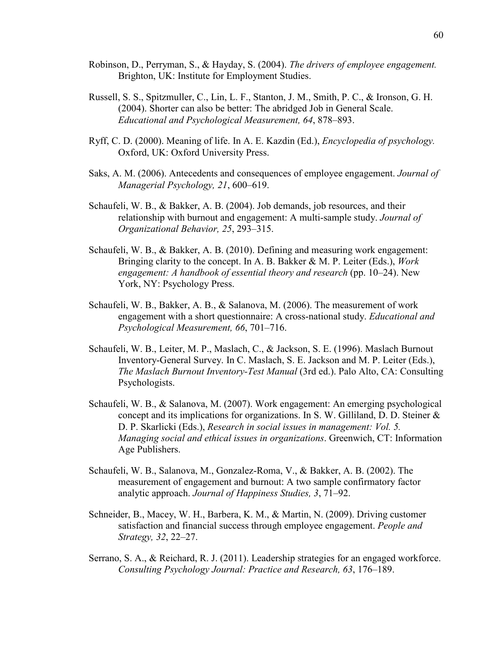- Robinson, D., Perryman, S., & Hayday, S. (2004). *The drivers of employee engagement.*  Brighton, UK: Institute for Employment Studies.
- Russell, S. S., Spitzmuller, C., Lin, L. F., Stanton, J. M., Smith, P. C., & Ironson, G. H. (2004). Shorter can also be better: The abridged Job in General Scale. *Educational and Psychological Measurement, 64*, 878–893.
- Ryff, C. D. (2000). Meaning of life. In A. E. Kazdin (Ed.), *Encyclopedia of psychology.* Oxford, UK: Oxford University Press.
- Saks, A. M. (2006). Antecedents and consequences of employee engagement. *Journal of Managerial Psychology, 21*, 600–619.
- Schaufeli, W. B., & Bakker, A. B. (2004). Job demands, job resources, and their relationship with burnout and engagement: A multi-sample study. *Journal of Organizational Behavior, 25*, 293–315.
- Schaufeli, W. B., & Bakker, A. B. (2010). Defining and measuring work engagement: Bringing clarity to the concept. In A. B. Bakker & M. P. Leiter (Eds.), *Work engagement: A handbook of essential theory and research* (pp. 10–24). New York, NY: Psychology Press.
- Schaufeli, W. B., Bakker, A. B., & Salanova, M. (2006). The measurement of work engagement with a short questionnaire: A cross-national study. *Educational and Psychological Measurement, 66*, 701–716.
- Schaufeli, W. B., Leiter, M. P., Maslach, C., & Jackson, S. E. (1996). Maslach Burnout Inventory-General Survey. In C. Maslach, S. E. Jackson and M. P. Leiter (Eds.), *The Maslach Burnout Inventory-Test Manual* (3rd ed.). Palo Alto, CA: Consulting Psychologists.
- Schaufeli, W. B., & Salanova, M. (2007). Work engagement: An emerging psychological concept and its implications for organizations. In S. W. Gilliland, D. D. Steiner & D. P. Skarlicki (Eds.), *Research in social issues in management: Vol. 5. Managing social and ethical issues in organizations*. Greenwich, CT: Information Age Publishers.
- Schaufeli, W. B., Salanova, M., Gonzalez-Roma, V., & Bakker, A. B. (2002). The measurement of engagement and burnout: A two sample confirmatory factor analytic approach. *Journal of Happiness Studies, 3*, 71–92.
- Schneider, B., Macey, W. H., Barbera, K. M., & Martin, N. (2009). Driving customer satisfaction and financial success through employee engagement. *People and Strategy, 32*, 22–27.
- Serrano, S. A., & Reichard, R. J. (2011). Leadership strategies for an engaged workforce. *Consulting Psychology Journal: Practice and Research, 63*, 176–189.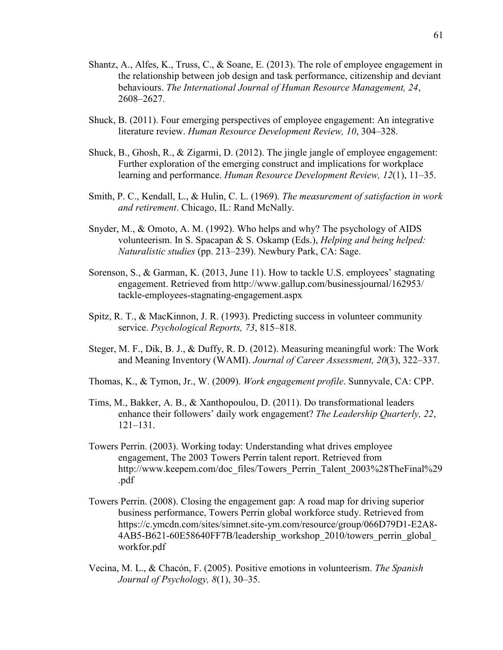- Shantz, A., Alfes, K., Truss, C., & Soane, E. (2013). The role of employee engagement in the relationship between job design and task performance, citizenship and deviant behaviours. *The International Journal of Human Resource Management, 24*, 2608–2627.
- Shuck, B. (2011). Four emerging perspectives of employee engagement: An integrative literature review. *Human Resource Development Review, 10*, 304–328.
- Shuck, B., Ghosh, R., & Zigarmi, D. (2012). The jingle jangle of employee engagement: Further exploration of the emerging construct and implications for workplace learning and performance. *Human Resource Development Review, 12*(1), 11–35.
- Smith, P. C., Kendall, L., & Hulin, C. L. (1969). *The measurement of satisfaction in work and retirement*. Chicago, IL: Rand McNally.
- Snyder, M., & Omoto, A. M. (1992). Who helps and why? The psychology of AIDS volunteerism. In S. Spacapan & S. Oskamp (Eds.), *Helping and being helped: Naturalistic studies* (pp. 213–239). Newbury Park, CA: Sage.
- Sorenson, S., & Garman, K. (2013, June 11). How to tackle U.S. employees' stagnating engagement. Retrieved from http://www.gallup.com/businessjournal/162953/ tackle-employees-stagnating-engagement.aspx
- Spitz, R. T., & MacKinnon, J. R. (1993). Predicting success in volunteer community service. *Psychological Reports, 73*, 815–818.
- Steger, M. F., Dik, B. J., & Duffy, R. D. (2012). Measuring meaningful work: The Work and Meaning Inventory (WAMI). *Journal of Career Assessment, 20*(3), 322–337.
- Thomas, K., & Tymon, Jr., W. (2009). *Work engagement profile*. Sunnyvale, CA: CPP.
- Tims, M., Bakker, A. B., & Xanthopoulou, D. (2011). Do transformational leaders enhance their followers' daily work engagement? *The Leadership Quarterly, 22*, 121–131.
- Towers Perrin. (2003). Working today: Understanding what drives employee engagement, The 2003 Towers Perrin talent report. Retrieved from http://www.keepem.com/doc\_files/Towers\_Perrin\_Talent\_2003%28TheFinal%29 .pdf
- Towers Perrin. (2008). Closing the engagement gap: A road map for driving superior business performance, Towers Perrin global workforce study. Retrieved from https://c.ymcdn.com/sites/simnet.site-ym.com/resource/group/066D79D1-E2A8- 4AB5-B621-60E58640FF7B/leadership\_workshop\_2010/towers\_perrin\_global\_ workfor.pdf
- Vecina, M. L., & Chacón, F. (2005). Positive emotions in volunteerism. *The Spanish Journal of Psychology, 8*(1), 30–35.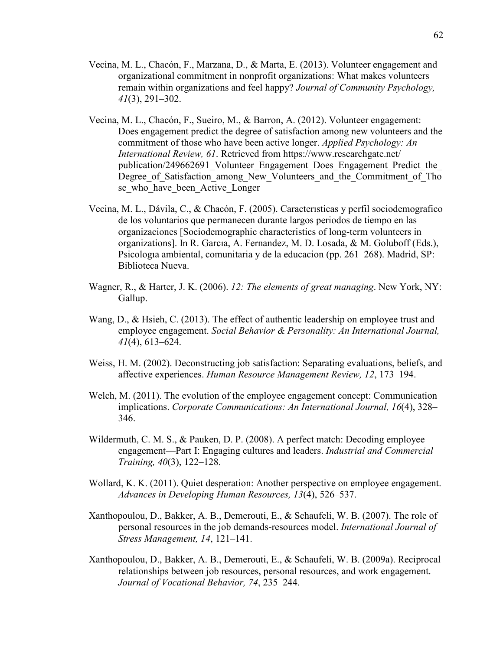- Vecina, M. L., Chacón, F., Marzana, D., & Marta, E. (2013). Volunteer engagement and organizational commitment in nonprofit organizations: What makes volunteers remain within organizations and feel happy? *Journal of Community Psychology, 41*(3), 291–302.
- Vecina, M. L., Chacón, F., Sueiro, M., & Barron, A. (2012). Volunteer engagement: Does engagement predict the degree of satisfaction among new volunteers and the commitment of those who have been active longer. *Applied Psychology: An International Review, 61*. Retrieved from https://www.researchgate.net/ publication/249662691\_Volunteer\_Engagement\_Does\_Engagement\_Predict\_the Degree of Satisfaction among New Volunteers and the Commitment of Tho se who have been Active Longer
- Vecina, M. L., Dávila, C., & Chacón, F. (2005). Caracterısticas y perfil sociodemografico de los voluntarios que permanecen durante largos periodos de tiempo en las organizaciones [Sociodemographic characteristics of long-term volunteers in organizations]. In R. Garcıa, A. Fernandez, M. D. Losada, & M. Goluboff (Eds.), Psicologıa ambiental, comunitaria y de la educacion (pp. 261–268). Madrid, SP: Biblioteca Nueva.
- Wagner, R., & Harter, J. K. (2006). *12: The elements of great managing*. New York, NY: Gallup.
- Wang, D., & Hsieh, C. (2013). The effect of authentic leadership on employee trust and employee engagement. *Social Behavior & Personality: An International Journal, 41*(4), 613–624.
- Weiss, H. M. (2002). Deconstructing job satisfaction: Separating evaluations, beliefs, and affective experiences. *Human Resource Management Review, 12*, 173–194.
- Welch, M. (2011). The evolution of the employee engagement concept: Communication implications. *Corporate Communications: An International Journal, 16*(4), 328– 346.
- Wildermuth, C. M. S., & Pauken, D. P. (2008). A perfect match: Decoding employee engagement—Part I: Engaging cultures and leaders. *Industrial and Commercial Training, 40*(3), 122–128.
- Wollard, K. K. (2011). Quiet desperation: Another perspective on employee engagement. *Advances in Developing Human Resources, 13*(4), 526–537.
- Xanthopoulou, D., Bakker, A. B., Demerouti, E., & Schaufeli, W. B. (2007). The role of personal resources in the job demands-resources model. *International Journal of Stress Management, 14*, 121–141.
- Xanthopoulou, D., Bakker, A. B., Demerouti, E., & Schaufeli, W. B. (2009a). Reciprocal relationships between job resources, personal resources, and work engagement. *Journal of Vocational Behavior, 74*, 235–244.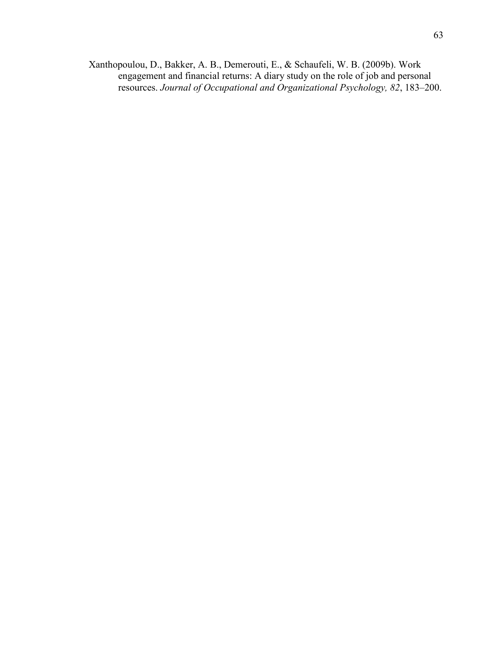Xanthopoulou, D., Bakker, A. B., Demerouti, E., & Schaufeli, W. B. (2009b). Work engagement and financial returns: A diary study on the role of job and personal resources. *Journal of Occupational and Organizational Psychology, 82*, 183–200.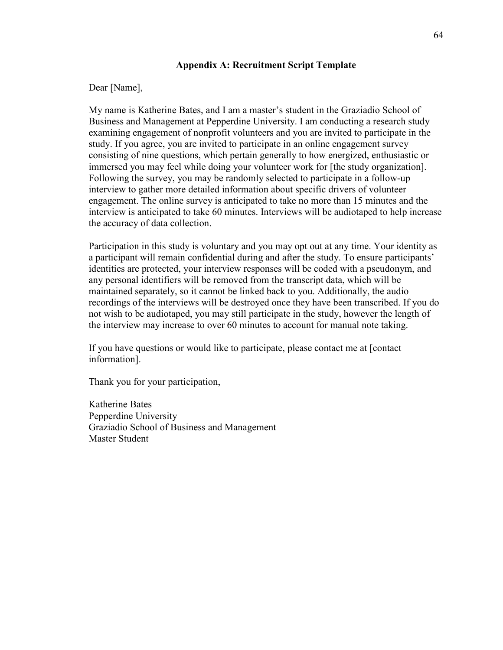### **Appendix A: Recruitment Script Template**

### Dear [Name],

My name is Katherine Bates, and I am a master's student in the Graziadio School of Business and Management at Pepperdine University. I am conducting a research study examining engagement of nonprofit volunteers and you are invited to participate in the study. If you agree, you are invited to participate in an online engagement survey consisting of nine questions, which pertain generally to how energized, enthusiastic or immersed you may feel while doing your volunteer work for [the study organization]. Following the survey, you may be randomly selected to participate in a follow-up interview to gather more detailed information about specific drivers of volunteer engagement. The online survey is anticipated to take no more than 15 minutes and the interview is anticipated to take 60 minutes. Interviews will be audiotaped to help increase the accuracy of data collection.

Participation in this study is voluntary and you may opt out at any time. Your identity as a participant will remain confidential during and after the study. To ensure participants' identities are protected, your interview responses will be coded with a pseudonym, and any personal identifiers will be removed from the transcript data, which will be maintained separately, so it cannot be linked back to you. Additionally, the audio recordings of the interviews will be destroyed once they have been transcribed. If you do not wish to be audiotaped, you may still participate in the study, however the length of the interview may increase to over 60 minutes to account for manual note taking.

If you have questions or would like to participate, please contact me at [contact information].

Thank you for your participation,

Katherine Bates Pepperdine University Graziadio School of Business and Management Master Student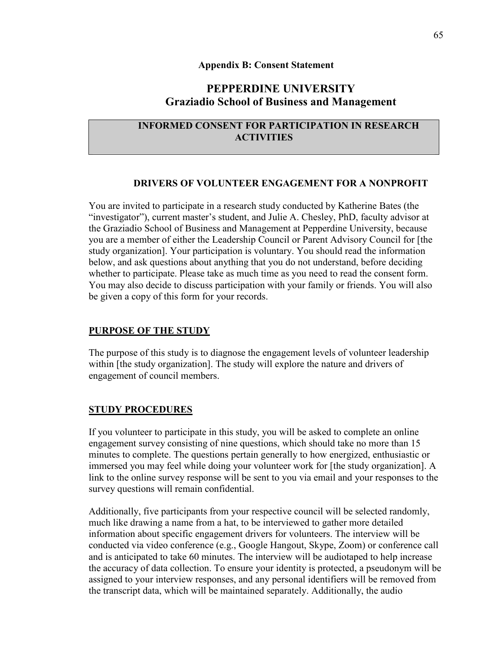#### **Appendix B: Consent Statement**

# **PEPPERDINE UNIVERSITY Graziadio School of Business and Management**

## **INFORMED CONSENT FOR PARTICIPATION IN RESEARCH ACTIVITIES**

#### **DRIVERS OF VOLUNTEER ENGAGEMENT FOR A NONPROFIT**

You are invited to participate in a research study conducted by Katherine Bates (the "investigator"), current master's student, and Julie A. Chesley, PhD, faculty advisor at the Graziadio School of Business and Management at Pepperdine University, because you are a member of either the Leadership Council or Parent Advisory Council for [the study organization]. Your participation is voluntary. You should read the information below, and ask questions about anything that you do not understand, before deciding whether to participate. Please take as much time as you need to read the consent form. You may also decide to discuss participation with your family or friends. You will also be given a copy of this form for your records.

#### **PURPOSE OF THE STUDY**

The purpose of this study is to diagnose the engagement levels of volunteer leadership within [the study organization]. The study will explore the nature and drivers of engagement of council members.

#### **STUDY PROCEDURES**

If you volunteer to participate in this study, you will be asked to complete an online engagement survey consisting of nine questions, which should take no more than 15 minutes to complete. The questions pertain generally to how energized, enthusiastic or immersed you may feel while doing your volunteer work for [the study organization]. A link to the online survey response will be sent to you via email and your responses to the survey questions will remain confidential.

Additionally, five participants from your respective council will be selected randomly, much like drawing a name from a hat, to be interviewed to gather more detailed information about specific engagement drivers for volunteers. The interview will be conducted via video conference (e.g., Google Hangout, Skype, Zoom) or conference call and is anticipated to take 60 minutes. The interview will be audiotaped to help increase the accuracy of data collection. To ensure your identity is protected, a pseudonym will be assigned to your interview responses, and any personal identifiers will be removed from the transcript data, which will be maintained separately. Additionally, the audio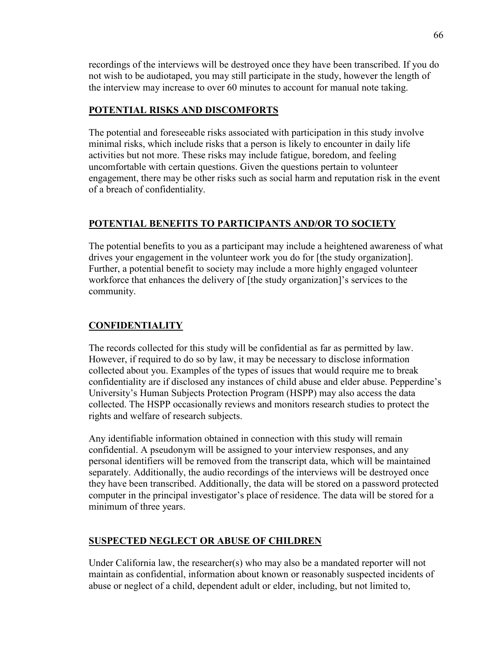recordings of the interviews will be destroyed once they have been transcribed. If you do not wish to be audiotaped, you may still participate in the study, however the length of the interview may increase to over 60 minutes to account for manual note taking.

### **POTENTIAL RISKS AND DISCOMFORTS**

The potential and foreseeable risks associated with participation in this study involve minimal risks, which include risks that a person is likely to encounter in daily life activities but not more. These risks may include fatigue, boredom, and feeling uncomfortable with certain questions. Given the questions pertain to volunteer engagement, there may be other risks such as social harm and reputation risk in the event of a breach of confidentiality.

# **POTENTIAL BENEFITS TO PARTICIPANTS AND/OR TO SOCIETY**

The potential benefits to you as a participant may include a heightened awareness of what drives your engagement in the volunteer work you do for [the study organization]. Further, a potential benefit to society may include a more highly engaged volunteer workforce that enhances the delivery of [the study organization]'s services to the community.

# **CONFIDENTIALITY**

The records collected for this study will be confidential as far as permitted by law. However, if required to do so by law, it may be necessary to disclose information collected about you. Examples of the types of issues that would require me to break confidentiality are if disclosed any instances of child abuse and elder abuse. Pepperdine's University's Human Subjects Protection Program (HSPP) may also access the data collected. The HSPP occasionally reviews and monitors research studies to protect the rights and welfare of research subjects.

Any identifiable information obtained in connection with this study will remain confidential. A pseudonym will be assigned to your interview responses, and any personal identifiers will be removed from the transcript data, which will be maintained separately. Additionally, the audio recordings of the interviews will be destroyed once they have been transcribed. Additionally, the data will be stored on a password protected computer in the principal investigator's place of residence. The data will be stored for a minimum of three years.

# **SUSPECTED NEGLECT OR ABUSE OF CHILDREN**

Under California law, the researcher(s) who may also be a mandated reporter will not maintain as confidential, information about known or reasonably suspected incidents of abuse or neglect of a child, dependent adult or elder, including, but not limited to,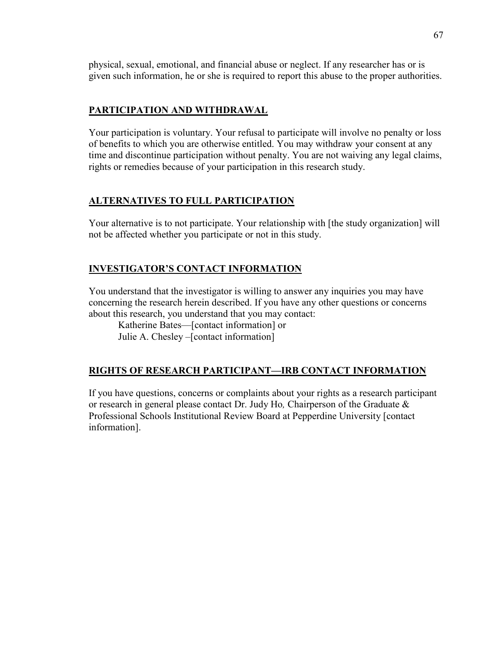physical, sexual, emotional, and financial abuse or neglect. If any researcher has or is given such information, he or she is required to report this abuse to the proper authorities.

## **PARTICIPATION AND WITHDRAWAL**

Your participation is voluntary. Your refusal to participate will involve no penalty or loss of benefits to which you are otherwise entitled. You may withdraw your consent at any time and discontinue participation without penalty. You are not waiving any legal claims, rights or remedies because of your participation in this research study.

### **ALTERNATIVES TO FULL PARTICIPATION**

Your alternative is to not participate. Your relationship with [the study organization] will not be affected whether you participate or not in this study.

## **INVESTIGATOR'S CONTACT INFORMATION**

You understand that the investigator is willing to answer any inquiries you may have concerning the research herein described. If you have any other questions or concerns about this research, you understand that you may contact:

Katherine Bates—[contact information] or Julie A. Chesley –[contact information]

# **RIGHTS OF RESEARCH PARTICIPANT—IRB CONTACT INFORMATION**

If you have questions, concerns or complaints about your rights as a research participant or research in general please contact Dr. Judy Ho*,* Chairperson of the Graduate & Professional Schools Institutional Review Board at Pepperdine University [contact information].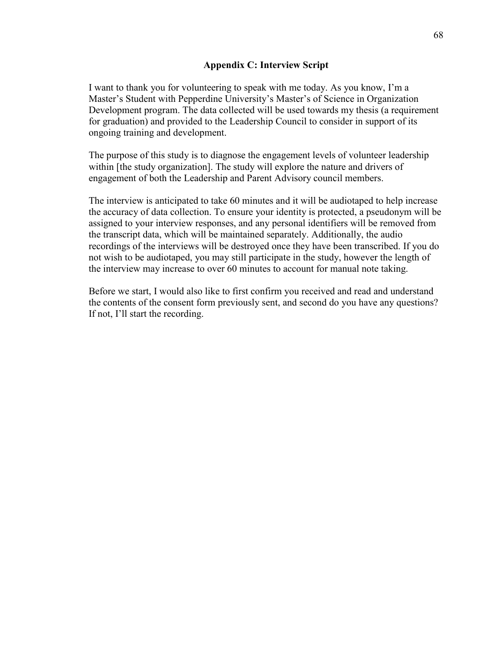### **Appendix C: Interview Script**

I want to thank you for volunteering to speak with me today. As you know, I'm a Master's Student with Pepperdine University's Master's of Science in Organization Development program. The data collected will be used towards my thesis (a requirement for graduation) and provided to the Leadership Council to consider in support of its ongoing training and development.

The purpose of this study is to diagnose the engagement levels of volunteer leadership within [the study organization]. The study will explore the nature and drivers of engagement of both the Leadership and Parent Advisory council members.

The interview is anticipated to take 60 minutes and it will be audiotaped to help increase the accuracy of data collection. To ensure your identity is protected, a pseudonym will be assigned to your interview responses, and any personal identifiers will be removed from the transcript data, which will be maintained separately. Additionally, the audio recordings of the interviews will be destroyed once they have been transcribed. If you do not wish to be audiotaped, you may still participate in the study, however the length of the interview may increase to over 60 minutes to account for manual note taking.

Before we start, I would also like to first confirm you received and read and understand the contents of the consent form previously sent, and second do you have any questions? If not, I'll start the recording.